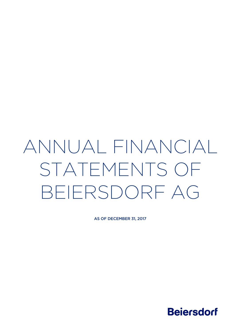# ANNUAL FINANCIAL STATEMENTS OF BEIERSDORF AG

AS OF DECEMBER 31, 2017

**Beiersdorf**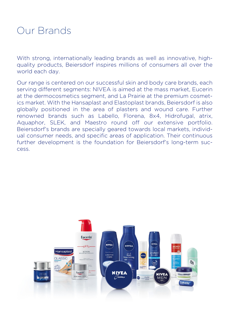## Our Brands

With strong, internationally leading brands as well as innovative, highquality products, Beiersdorf inspires millions of consumers all over the world each day.

Our range is centered on our successful skin and body care brands, each serving different segments: NIVEA is aimed at the mass market, Eucerin at the dermocosmetics segment, and La Prairie at the premium cosmetics market. With the Hansaplast and Elastoplast brands, Beiersdorf is also globally positioned in the area of plasters and wound care. Further renowned brands such as Labello, Florena, 8x4, Hidrofugal, atrix, Aquaphor, SLEK, and Maestro round off our extensive portfolio. Beiersdorf's brands are specially geared towards local markets, individual consumer needs, and specific areas of application. Their continuous further development is the foundation for Beiersdorf's long-term success.

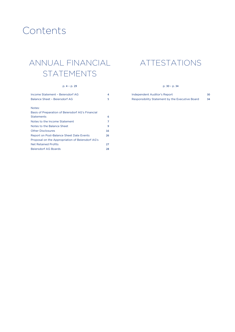## Contents

## ANNUAL FINANCIAL STATEMENTS

#### p. 4 – p. 29

| Income Statement - Beiersdorf AG                  | 4  |
|---------------------------------------------------|----|
| Balance Sheet - Beiersdorf AG                     | 5  |
|                                                   |    |
| Notes:                                            |    |
| Basis of Preparation of Beiersdorf AG's Financial |    |
| <b>Statements</b>                                 | 6  |
| Notes to the Income Statement                     | 7  |
| Notes to the Balance Sheet                        | 9  |
| <b>Other Disclosures</b>                          | 16 |
| <b>Report on Post-Balance Sheet Date Events</b>   | 26 |
| Proposal on the Appropriation of Beiersdorf AG's  |    |
| <b>Net Retained Profits</b>                       | 27 |
| Beiersdorf AG Boards                              | 28 |

## ATTESTATIONS

#### p. 30 – p. 34

Independent Auditor's Report 30 Responsibility Statement by the Executive Board 34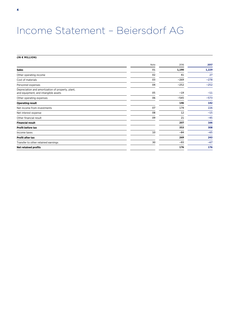## Income Statement – Beiersdorf AG

## **(IN € MILLION)**

|                                                                                           | Note | 2016   | 2017   |
|-------------------------------------------------------------------------------------------|------|--------|--------|
| <b>Sales</b>                                                                              | 01   | 1,190  | 1,229  |
| Other operating income                                                                    | 02   | 41     | 27     |
| Cost of materials                                                                         | 03   | $-269$ | $-278$ |
| Personnel expenses                                                                        | 04   | $-252$ | $-252$ |
| Depreciation and amortization of property, plant,<br>and equipment, and intangible assets | 05   | $-19$  | $-11$  |
| Other operating expenses                                                                  | 06   | $-545$ | $-573$ |
| <b>Operating result</b>                                                                   |      | 146    | 142    |
| Net income from investments                                                               | 07   | 174    | 226    |
| Net interest expense                                                                      | 08   | 12     | $-15$  |
| Other financial result                                                                    | 09   | 21     | $-45$  |
| <b>Financial result</b>                                                                   |      | 207    | 166    |
| Profit before tax                                                                         |      | 353    | 308    |
| Income taxes                                                                              | 10   | $-84$  | $-65$  |
| Profit after tax                                                                          |      | 269    | 243    |
| Transfer to other retained earnings                                                       | 30   | $-93$  | $-67$  |
| <b>Net retained profits</b>                                                               |      | 176    | 176    |

ANNUAL FINANCIAL STATEMENTS – BEIERSDORF AG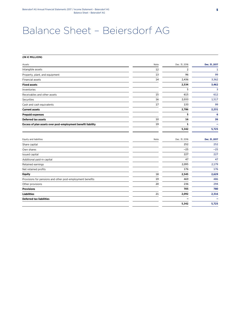## Balance Sheet – Beiersdorf AG

#### **(IN € MILLION)**

| Assets                                                       | Note | Dec. 31, 2016 | Dec. 31, 2017 |
|--------------------------------------------------------------|------|---------------|---------------|
| Intangible assets                                            | 12   | 2             | 1             |
| Property, plant, and equipment                               | 13   | 96            | 99            |
| <b>Financial assets</b>                                      | 14   | 2,436         | 3,362         |
| <b>Fixed assets</b>                                          |      | 2,534         | 3,462         |
| Inventories                                                  |      | 5             | 3             |
| Receivables and other assets                                 | 15   | 615           | 612           |
| Securities                                                   | 16   | 2,033         | 1,517         |
| Cash and cash equivalents                                    | 17   | 133           | 99            |
| <b>Current assets</b>                                        |      | 2,786         | 2,231         |
| <b>Prepaid expenses</b>                                      |      | 5             | 6             |
| <b>Deferred tax assets</b>                                   | 10   | 16            | 26            |
| Excess of plan assets over post-employment benefit liability | 19   | 1             |               |
|                                                              |      | 5,342         | 5,725         |
| Equity and liabilities                                       | Note | Dec. 31, 2016 | Dec. 31, 2017 |
| Share capital                                                |      | 252           | 252           |
| Own shares                                                   |      | $-25$         | $-25$         |
| Issued capital                                               |      | 227           | 227           |
| Additional paid-in capital                                   |      | 47            | 47            |
| Retained earnings                                            |      | 2,095         | 2,179         |
| Net retained profits                                         |      | 176           | 176           |
| <b>Equity</b>                                                | 18   | 2,545         | 2,629         |
| Provisions for pensions and other post-employment benefits   | 19   | 469           | 486           |
| Other provisions                                             | 20   | 236           | 294           |
| <b>Provisions</b>                                            |      | 705           | 780           |
| <b>Liabilities</b>                                           | 21   | 2,092         | 2,316         |
| <b>Deferred tax liabilities</b>                              |      |               |               |
|                                                              |      | 5,342         | 5,725         |
|                                                              |      |               |               |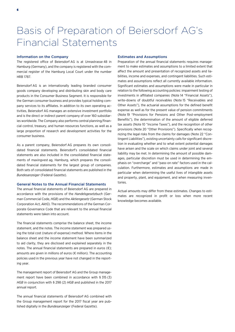## Basis of Preparation of Beiersdorf AG's Financial Statements

### Information on the Company

The registered office of Beiersdorf AG is at Unnastrasse 48 in Hamburg (Germany), and the company is registered with the commercial register of the Hamburg Local Court under the number HRB 1787.

Beiersdorf AG is an internationally leading branded consumer goods company developing and distributing skin and body care products in the Consumer Business Segment. It is responsible for the German consumer business and provides typical holding company services to its affiliates. In addition to its own operating activities, Beiersdorf AG manages an extensive investment portfolio and is the direct or indirect parent company of over 160 subsidiaries worldwide. The Company also performs central planning/financial control, treasury, and human resources functions, as well as a large proportion of research and development activities for the consumer business.

As a parent company, Beiersdorf AG prepares its own consolidated financial statements. Beiersdorf's consolidated financial statements are also included in the consolidated financial statements of maxingvest ag, Hamburg, which prepares the consolidated financial statements for the largest group of companies. Both sets of consolidated financial statements are published in the *Bundesanzeiger* (Federal Gazette).

#### General Notes to the Annual Financial Statements

The annual financial statements of Beiersdorf AG are prepared in accordance with the provisions of the *Handelsgesetzbuch* (German Commercial Code, *HGB*) and the *Aktiengesetz* (German Stock Corporation Act, *AktG*). The recommendations of the German Corporate Governance Code that are relevant to the annual financial statements were taken into account.

The financial statements comprise the balance sheet, the income statement, and the notes. The income statement was prepared using the total cost (nature of expense) method. Where items in the balance sheet and the income statement have been summarized to aid clarity, they are disclosed and explained separately in the notes. The annual financial statements are prepared in euros  $(\epsilon)$ ; amounts are given in millions of euros (€ million). The accounting policies used in the previous year have not changed in the reporting year.

The management report of Beiersdorf AG and the Group management report have been combined in accordance with § 315 (3) *HGB* in conjunction with § 298 (2) *HGB* and published in the 2017 annual report.

The annual financial statements of Beiersdorf AG combined with the Group management report for the 2017 fiscal year are published digitally in the *Bundesanzeiger* (Federal Gazette).

#### Estimates and Assumptions

Preparation of the annual financial statements requires management to make estimates and assumptions to a limited extent that affect the amount and presentation of recognized assets and liabilities, income and expenses, and contingent liabilities. Such estimates and assumptions reflect all currently available information. Significant estimates and assumptions were made in particular in relation to the following accounting policies: impairment testing of investments in affiliated companies (Note 14 "Financial Assets"), write-downs of doubtful receivables (Note 15 "Receivables and Other Assets"), the actuarial assumptions for the defined benefit expense as well as for the present value of pension commitments (Note 19 "Provisions for Pensions and Other Post-employment Benefits"), the determination of the amount of eligible deferred tax assets (Note 10 "Income Taxes"), and the recognition of other provisions (Note 20 "Other Provisions"). Specifically when recognizing the legal risks from the claims for damages (Note 22 "Contingent Liabilities"), existing uncertainty calls for significant discretion in evaluating whether and to what extent potential damages have arisen and the scale on which claims under joint and several liability may be met. In determining the amount of possible damages, particular discretion must be used in determining the emphasis on "overcharge" and "pass-on rate" factors used in the calculation. Furthermore, estimates and assumptions are made in particular when determining the useful lives of intangible assets and property, plant, and equipment, and when measuring inventories.

Actual amounts may differ from these estimates. Changes to estimates are recognized in profit or loss when more recent knowledge becomes available.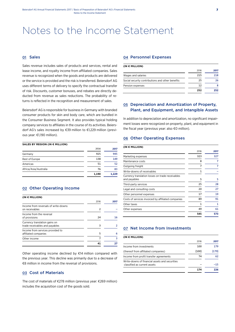## Notes to the Income Statement

### 01 Sales

Sales revenue includes sales of products and services, rental and lease income, and royalty income from affiliated companies. Sales revenue is recognized when the goods and products are delivered or the service is provided and the risk is transferred. Beiersdorf AG uses different terms of delivery to specify the contractual transfer of risk. Discounts, customer bonuses, and rebates are directly deducted from revenue as sales reductions. The probability of returns is reflected in the recognition and measurement of sales.

Beiersdorf AG is responsible for business in Germany with branded consumer products for skin and body care, which are bundled in the Consumer Business Segment. It also provides typical holding company services to affiliates in the course of its activities. Beiersdorf AG's sales increased by €39 million to €1,229 million (previous year: €1,190 million).

#### **SALES BY REGION (IN € MILLION)**

|                       | 1.190 | 1.229 |
|-----------------------|-------|-------|
| Africa/Asia/Australia | 76    | 83    |
| Americas              | 51    | 52    |
| Rest of Europe        | 138   | 149   |
| Germany               | 925   | 945   |
|                       | 2016  | 2017  |

## 02 Other Operating Income

| (IN € MILLION)                                                  |      |      |
|-----------------------------------------------------------------|------|------|
|                                                                 | 2016 | 2017 |
| Income from reversals of write-downs<br>on receivables          | 2    |      |
| Income from the reversal<br>of provisions                       | 24   | 16   |
| Currency translation gains on<br>trade receivables and payables | 3    |      |
| Income from services provided to<br>affiliated companies        | 5    | 6    |
| Other income                                                    |      | R    |
|                                                                 |      |      |

Other operating income declined by €14 million compared with the previous year. This decline was primarily due to a decrease of €8 million in income from the reversal of provisions.

### 03 Cost of Materials

The cost of materials of €278 million (previous year: €269 million) includes the acquisition cost of the goods sold.

#### 04 Personnel Expenses

| (IN € MILLION) |  |
|----------------|--|
|----------------|--|

|                                                  | 2016 | 2017 |
|--------------------------------------------------|------|------|
| Wages and salaries                               | 215  | 218  |
| Social security contributions and other benefits | 25   | 26   |
| Pension expenses                                 | 12   |      |
|                                                  | 252  | 252  |

## 05 Depreciation and Amortization of Property, Plant, and Equipment, and Intangible Assets

In addition to depreciation and amortization, no significant impairment losses were recognized on property, plant, and equipment in the fiscal year (previous year: also €0 million).

#### 06 Other Operating Expenses

| (IN € MILLION)                                                   |      |      |
|------------------------------------------------------------------|------|------|
|                                                                  | 2016 | 2017 |
| Marketing expenses                                               | 323  | 327  |
| Maintenance costs                                                | 8    | 7    |
| Outgoing freight                                                 | 7    | 7    |
| Write-downs of receivables                                       | 1    |      |
| Currency translation losses on trade receivables<br>and payables | 5    | 5    |
| Third-party services                                             | 25   | 28   |
| Legal and consulting costs                                       | 20   | 27   |
| Other personnel expenses                                         | 17   | 19   |
| Costs of services invoiced by affiliated companies               | 89   | 91   |
| Other taxes                                                      | 1    | 1    |
| Other expenses                                                   | 49   | 61   |
|                                                                  | 545  | 573  |

### 07 Net Income from Investments

#### **(IN € MILLION)**

|                                                                                | 2016  | 2017  |
|--------------------------------------------------------------------------------|-------|-------|
| Income from investments                                                        | 100   | 179   |
| (thereof from affiliated companies)                                            | (100) | (179) |
| Income from profit transfer agreements                                         | 74    | 62    |
| Write-downs of financial assets and securities<br>classified as current assets |       | $-15$ |
|                                                                                | 174   | 226   |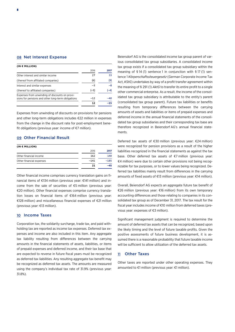### 08 Net Interest Expense

| (IN € MILLION)                                                                                       |       |      |
|------------------------------------------------------------------------------------------------------|-------|------|
|                                                                                                      | 2016  | 2017 |
| Other interest and similar income                                                                    | 27    | 33   |
| (thereof from affiliated companies)                                                                  | (6)   | (9)  |
| Interest and similar expenses                                                                        | $-3$  | $-8$ |
| (thereof to affiliated companies)                                                                    | (—3)  | -41  |
| Expenses from unwinding of discounts on provi-<br>sions for pensions and other long-term obligations | $-12$ | -40  |
|                                                                                                      | 17    |      |

Expenses from unwinding of discounts on provisions for pensions and other long-term obligations includes €22 million in expenses from the change in the discount rate for post-employment benefit obligations (previous year: income of €7 million).

### 09 Other Financial Result

| (IN € MILLION)           |        |        |
|--------------------------|--------|--------|
|                          | 2016   | 2017   |
| Other financial income   | 162    | 140    |
| Other financial expenses | $-141$ | $-185$ |
|                          | 21     |        |

Other financial income comprises currency translation gains on financial items of €134 million (previous year: €141 million) and income from the sale of securities of €5 million (previous year: €20 million). Other financial expenses comprise currency translation losses on financial items of €164 million (previous year: €128 million) and miscellaneous financial expenses of €21 million (previous year: €13 million).

### 10 Income Taxes

Corporation tax, the solidarity surcharge, trade tax, and paid withholding tax are reported as income tax expenses. Deferred tax expenses and income are also included in this item. Any aggregate tax liability resulting from differences between the carrying amounts in the financial statements of assets, liabilities, or items of prepaid expenses and deferred income, and their tax base that are expected to reverse in future fiscal years must be recognized as deferred tax liabilities. Any resulting aggregate tax benefit may be recognized as deferred tax assets. The amounts are measured using the company's individual tax rate of 31.9% (previous year: 31.8%).

Beiersdorf AG is the consolidated income tax group parent of various consolidated tax group subsidiaries. A consolidated income tax group exists if a consolidated tax group subsidiary within the meaning of § 14 (1) sentence 1 in conjunction with § 17 (1) sentence 1 *Körperschaftssteuergesetz* (German Corporate Income Tax Act, *KStG*) undertakes by way of a profit transfer agreement within the meaning of § 291 (1) *AktG* to transfer its entire profit to a single other commercial enterprise. As a result, the income of the consolidated tax group subsidiary is attributable to the entity's parent (consolidated tax group parent). Future tax liabilities or benefits resulting from temporary differences between the carrying amounts of assets and liabilities or items of prepaid expenses and deferred income in the annual financial statements of the consolidated tax group subsidiaries and their corresponding tax base are therefore recognized in Beiersdorf AG's annual financial statements.

Deferred tax assets of €30 million (previous year: €24 million) were recognized for pension provisions as a result of the higher liabilities recognized in the financial statements as against the tax base. Other deferred tax assets of €7 million (previous year: €4 million) were due to certain other provisions not being recognizable for tax purposes, or to lower values being recognized. Deferred tax liabilities mainly result from differences in the carrying amounts of fixed assets of €13 million (previous year: €14 million).

Overall, Beiersdorf AG expects an aggregate future tax benefit of €26 million (previous year: €16 million) from its own temporary accounting differences and those relating to companies in its consolidated tax group as of December 31, 2017. The tax result for the fiscal year includes income of €10 million from deferred taxes (previous year: expenses of €3 million).

Significant management judgment is required to determine the amount of deferred tax assets that can be recognized, based upon the likely timing and the level of future taxable profits. Given the positive assessments of future business development, it is assumed there is a reasonable probability that future taxable income will be sufficient to allow utilization of the deferred tax assets.

#### 11 Other Taxes

Other taxes are reported under other operating expenses. They amounted to €1 million (previous year: €1 million).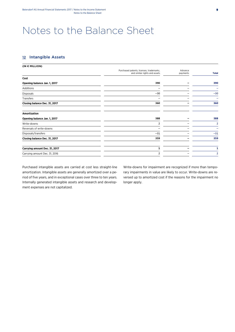## Notes to the Balance Sheet

## 12 Intangible Assets

| (IN € MILLION)                |                                                                           |                     |                |
|-------------------------------|---------------------------------------------------------------------------|---------------------|----------------|
|                               | Purchased patents, licenses, trademarks,<br>and similar rights and assets | Advance<br>payments | <b>Total</b>   |
| Cost                          |                                                                           |                     |                |
| Opening balance Jan. 1, 2017  | 390                                                                       |                     | 390            |
| Additions                     |                                                                           |                     |                |
| <b>Disposals</b>              | $-30$                                                                     |                     | $-30$          |
| Transfers                     |                                                                           |                     |                |
| Closing balance Dec. 31, 2017 | 360                                                                       |                     | 360            |
| <b>Amortization</b>           |                                                                           |                     |                |
| Opening balance Jan. 1, 2017  | 388                                                                       |                     | 388            |
| Write-downs                   | 2                                                                         |                     |                |
| Reversals of write-downs      |                                                                           |                     |                |
| Disposals/transfers           | $-31$                                                                     |                     | $-31$          |
| Closing balance Dec. 31, 2017 | 359                                                                       |                     | 359            |
| Carrying amount Dec. 31, 2017 |                                                                           |                     | 1              |
| Carrying amount Dec. 31, 2016 | 2                                                                         |                     | $\overline{2}$ |
|                               |                                                                           |                     |                |

Purchased intangible assets are carried at cost less straight-line amortization. Intangible assets are generally amortized over a period of five years, and in exceptional cases over three to ten years. Internally generated intangible assets and research and development expenses are not capitalized.

Write-downs for impairment are recognized if more than temporary impairments in value are likely to occur. Write-downs are reversed up to amortized cost if the reasons for the impairment no longer apply.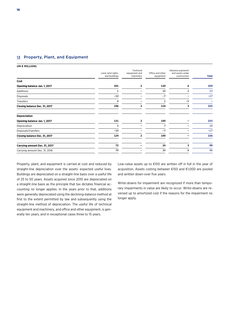### 13 Property, Plant, and Equipment

**(IN € MILLION)** 

|                               | Land, land rights, | Technical<br>equipment and | Office and other | Advance payments<br>and assets under |              |
|-------------------------------|--------------------|----------------------------|------------------|--------------------------------------|--------------|
|                               | and buildings      | machinery                  | equipment        | construction                         | <b>Total</b> |
| Cost                          |                    |                            |                  |                                      |              |
| Opening balance Jan. 1, 2017  | 201                | 2                          | 120              | 6                                    | 329          |
| Additions                     | 1                  |                            | 10               |                                      | 13           |
| Disposals                     | $-10$              |                            | $-7$             |                                      | $-17$        |
| Transfers                     | 4                  |                            | 1                | $-5$                                 |              |
| Closing balance Dec. 31, 2017 | 196                | 2                          | 124              | з                                    | 325          |
| <b>Depreciation</b>           |                    |                            |                  |                                      |              |
| Opening balance Jan. 1, 2017  | 131                | 2                          | 100              |                                      | 233          |
| Depreciation                  | 3                  |                            | 7                |                                      | 10           |
| Disposals/transfers           | $-10$              |                            | $-7$             |                                      | $-17$        |
| Closing balance Dec. 31, 2017 | 124                | 2                          | 100              |                                      | 226          |
| Carrying amount Dec. 31, 2017 | 72                 |                            | 24               | 3                                    | 99           |
| Carrying amount Dec. 31, 2016 | 70                 |                            | 20               | 6                                    | 96           |

Property, plant, and equipment is carried at cost and reduced by straight-line depreciation over the assets' expected useful lives. Buildings are depreciated on a straight-line basis over a useful life of 25 to 50 years. Assets acquired since 2010 are depreciated on a straight-line basis as the principle that tax dictates financial accounting no longer applies. In the years prior to that, additions were generally depreciated using the declining-balance method at first to the extent permitted by law and subsequently using the straight-line method of depreciation. The useful life of technical equipment and machinery, and office and other equipment, is generally ten years, and in exceptional cases three to 15 years.

Low-value assets up to €150 are written off in full in the year of acquisition. Assets costing between €150 and €1,000 are pooled and written down over five years.

Write-downs for impairment are recognized if more than temporary impairments in value are likely to occur. Write-downs are reversed up to amortized cost if the reasons for the impairment no longer apply.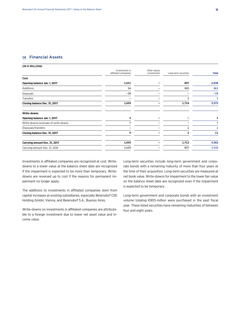### 14 Financial Assets

**(IN € MILLION)** 

|                                      | Investments in<br>affiliated companies | Other equity<br>investments | Long-term securities | <b>Total</b> |
|--------------------------------------|----------------------------------------|-----------------------------|----------------------|--------------|
| Cost                                 |                                        |                             |                      |              |
| Opening balance Jan. 1, 2017         | 1,631                                  |                             | 807                  | 2,438        |
| Additions                            | 56                                     |                             | 905                  | 961          |
| Disposals                            | $-28$                                  |                             |                      | $-28$        |
| Transfers                            |                                        |                             |                      | 2            |
| Closing balance Dec. 31, 2017        | 1,659                                  |                             | 1,714                | 3,373        |
| Write-downs                          |                                        |                             |                      |              |
| Opening balance Jan. 1, 2017         |                                        |                             |                      | 2            |
| Write-downs/reversals of write-downs |                                        |                             |                      |              |
| Disposals/transfers                  |                                        |                             |                      | 2            |
| Closing balance Dec. 31, 2017        | 9                                      |                             |                      | 11           |
| Carrying amount Dec. 31, 2017        | 1,650                                  |                             | 1,712                | 3,362        |
| Carrying amount Dec. 31, 2016        | 1,629                                  |                             | 807                  | 2,436        |

Investments in affiliated companies are recognized at cost. Writedowns to a lower value at the balance sheet date are recognized if the impairment is expected to be more than temporary. Writedowns are reversed up to cost if the reasons for permanent impairment no longer apply.

The additions to investments in affiliated companies stem from capital increases at existing subsidiaries, especially Beiersdorf CEE Holding GmbH, Vienna, and Beiersdorf S.A., Buenos Aires.

Write-downs on investments in affiliated companies are attributable to a foreign investment due to lower net asset value and income value.

Long-term securities include long-term government and corporate bonds with a remaining maturity of more than four years at the time of their acquisition. Long-term securities are measured at net book value. Write-downs for impairment to the lower fair value on the balance sheet date are recognized even if the impairment is expected to be temporary.

Long-term government and corporate bonds with an investment volume totaling €905 million were purchased in the past fiscal year. These listed securities have remaining maturities of between four and eight years.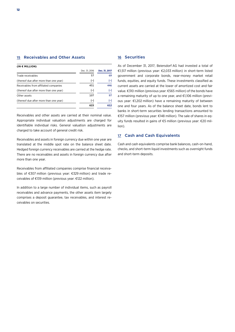| (IN € MILLION)                         |               |                   |
|----------------------------------------|---------------|-------------------|
|                                        | Dec. 31, 2016 | Dec. 31, 2017     |
| Trade receivables                      | 57            | 69                |
| (thereof due after more than one year) | $(-)$         | $\left( -\right)$ |
| Receivables from affiliated companies  | 451           | 446               |
| (thereof due after more than one year) | $(-)$         | $(-)$             |
| Other assets                           | 107           | 97                |
| (thereof due after more than one year) | $(-)$         | (—)               |
|                                        | 615           | 612               |

Receivables and other assets are carried at their nominal value. Appropriate individual valuation adjustments are charged for identifiable individual risks. General valuation adjustments are charged to take account of general credit risk.

Receivables and assets in foreign currency due within one year are translated at the middle spot rate on the balance sheet date. Hedged foreign currency receivables are carried at the hedge rate. There are no receivables and assets in foreign currency due after more than one year.

Receivables from affiliated companies comprise financial receivables of €307 million (previous year: €329 million) and trade receivables of €139 million (previous year: €122 million).

In addition to a large number of individual items, such as payroll receivables and advance payments, the other assets item largely comprises a deposit guarantee, tax receivables, and interest receivables on securities.

#### 16 Securities

As of December 31, 2017, Beiersdorf AG had invested a total of €1,517 million (previous year: €2,033 million) in short-term listed government and corporate bonds, near-money market retail funds, equities, and equity funds. These investments classified as current assets are carried at the lower of amortized cost and fair value. €310 million (previous year: €565 million) of the bonds have a remaining maturity of up to one year, and €1,106 million (previous year: €1,202 million) have a remaining maturity of between one and four years. As of the balance sheet date, bonds lent to banks in short-term securities lending transactions amounted to €157 million (previous year: €148 million). The sale of shares in equity funds resulted in gains of €5 million (previous year: €20 million).

### 17 Cash and Cash Equivalents

Cash and cash equivalents comprise bank balances, cash-on-hand, checks, and short-term liquid investments such as overnight funds and short-term deposits.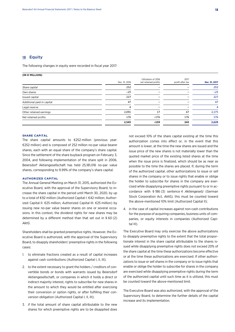### 18 Equity

The following changes in equity were recorded in fiscal year 2017:

| (IN € MILLION)             |               |                                             |                          |               |
|----------------------------|---------------|---------------------------------------------|--------------------------|---------------|
|                            | Dec. 31, 2016 | Utilization of 2016<br>net retained profits | 2017<br>profit after tax | Dec. 31, 2017 |
| Share capital              | 252           |                                             |                          | 252           |
| Own shares                 | $-25$         |                                             |                          | $-25$         |
| Issued capital             | 227           |                                             |                          | 227           |
| Additional paid-in capital | 47            |                                             |                          | 47            |
| Legal reserve              | 4             |                                             |                          | 4             |
| Other retained earnings    | 2,091         | 17                                          | 67                       | 2,175         |
| Net retained profits       | 176           | $-176$                                      | 176                      | 176           |
|                            | 2,545         | $-159$                                      | 243                      | 2,629         |
|                            |               |                                             |                          |               |

#### **SHARE CAPITAL**

The share capital amounts to €252 million (previous year: €252 million) and is composed of 252 million no-par value bearer shares, each with an equal share of the company's share capital. Since the settlement of the share buyback program on February 3, 2004, and following implementation of the share split in 2006, Beiersdorf Aktiengesellschaft has held 25,181,016 no-par value shares, corresponding to 9.99% of the company's share capital.

#### **AUTHORIZED CAPITAL**

The Annual General Meeting on March 31, 2015, authorized the Executive Board, with the approval of the Supervisory Board, to increase the share capital in the period until March 30, 2020, by up to a total of €92 million (Authorized Capital I: €42 million; Authorized Capital II: €25 million; Authorized Capital III: €25 million) by issuing new no-par value bearer shares on one or several occasions. In this context, the dividend rights for new shares may be determined by a different method than that set out in § 60 (2) *AktG*.

Shareholders shall be granted preemptive rights. However, the Executive Board is authorized, with the approval of the Supervisory Board, to disapply shareholders' preemptive rights in the following cases:

- 1. to eliminate fractions created as a result of capital increases against cash contributions (Authorized Capital I, II, III);
- 2. to the extent necessary to grant the holders / creditors of convertible bonds or bonds with warrants issued by Beiersdorf Aktiengesellschaft, or companies in which it holds a direct or indirect majority interest, rights to subscribe for new shares in the amount to which they would be entitled after exercising their conversion or option rights, or after fulfilling their conversion obligation (Authorized Capital I, II, III);
- 3. if the total amount of share capital attributable to the new shares for which preemptive rights are to be disapplied does

not exceed 10% of the share capital existing at the time this authorization comes into effect or, in the event that this amount is lower, at the time the new shares are issued and the issue price of the new shares is not materially lower than the quoted market price of the existing listed shares at the time when the issue price is finalized, which should be as near as possible to the time the shares are placed. If, during the term of the authorized capital, other authorizations to issue or sell shares in the company or to issue rights that enable or oblige the holder to subscribe for shares in the company are exercised while disapplying preemptive rights pursuant to or in accordance with § 186 (3) sentence 4 *Aktiengesetz* (German Stock Corporation Act, *AktG),* this must be counted toward the above-mentioned 10% limit (Authorized Capital II);

4. in the case of capital increases against non-cash contributions for the purpose of acquiring companies, business units of companies, or equity interests in companies (Authorized Capital III).

The Executive Board may only exercise the above authorizations to disapply preemptive rights to the extent that the total proportionate interest in the share capital attributable to the shares issued while disapplying preemptive rights does not exceed 20% of the share capital at the time these authorizations become effective or at the time these authorizations are exercised. If other authorizations to issue or sell shares in the company or to issue rights that enable or oblige the holder to subscribe for shares in the company are exercised while disapplying preemptive rights during the term of the authorized capital until such time as it is utilized, this must be counted toward the above-mentioned limit.

The Executive Board was also authorized, with the approval of the Supervisory Board, to determine the further details of the capital increase and its implementation.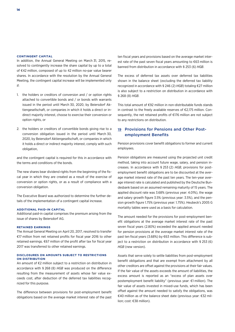#### **CONTINGENT CAPITAL**

In addition, the Annual General Meeting on March 31, 2015, resolved to contingently increase the share capital by up to a total of €42 million, composed of up to 42 million no-par value bearer shares. In accordance with the resolution by the Annual General Meeting, the contingent capital increase will be implemented only if:

- 1. the holders or creditors of conversion and / or option rights attached to convertible bonds and / or bonds with warrants issued in the period until March 30, 2020, by Beiersdorf Aktiengesellschaft, or companies in which it holds a direct or indirect majority interest, choose to exercise their conversion or option rights, or
- 2. the holders or creditors of convertible bonds giving rise to a conversion obligation issued in the period until March 30, 2020, by Beiersdorf Aktiengesellschaft, or companies in which it holds a direct or indirect majority interest, comply with such obligation,

and the contingent capital is required for this in accordance with the terms and conditions of the bonds.

The new shares bear dividend rights from the beginning of the fiscal year in which they are created as a result of the exercise of conversion or option rights, or as a result of compliance with a conversion obligation.

The Executive Board was authorized to determine the further details of the implementation of a contingent capital increase.

#### **ADDITIONAL PAID-IN CAPITAL**

Additional paid-in capital comprises the premium arising from the issue of shares by Beiersdorf AG.

#### **RETAINED EARNINGS**

The Annual General Meeting on April 20, 2017, resolved to transfer €17 million from net retained profits for fiscal year 2016 to other retained earnings. €67 million of the profit after tax for fiscal year 2017 was transferred to other retained earnings.

#### **DISCLOSURES ON AMOUNTS SUBJECT TO RESTRICTIONS ON DISTRIBUTION**

An amount of €2 million subject to a restriction on distribution in accordance with § 268 (8) *HGB* was produced on the difference resulting from the measurement of assets whose fair value exceeds cost, after deduction of the deferred tax liabilities recognized for this purpose.

The difference between provisions for post-employment benefit obligations based on the average market interest rate of the past ten fiscal years and provisions based on the average market interest rate of the past seven fiscal years amounting to €63 million is banned from distribution in accordance with § 253 (6) *HGB*.

The excess of deferred tax assets over deferred tax liabilities shown in the balance sheet (excluding the deferred tax liability recognized in accordance with § 246 (2) *HGB*) totaling €27 million is also subject to a restriction on distribution in accordance with § 268 (8) *HGB*.

This total amount of €92 million in non-distributable funds stands in contrast to the freely available reserves of €2,175 million. Consequently, the net retained profits of €176 million are not subject to any restrictions on distribution.

## 19 Provisions for Pensions and Other Postemployment Benefits

Pension provisions cover benefit obligations to former and current employees.

Pension obligations are measured using the projected unit credit method, taking into account future wage, salary, and pension increases. In accordance with § 253 (2) *HGB*, provisions for postemployment benefit obligations are to be discounted at the average market interest rate of the past ten years. The ten-year average interest rate is calculated and published by the Deutsche Bundesbank based on an assumed remaining maturity of 15 years. The applied discount rate was 3.68% (previous year: 4.01%), the wage and salary growth figure 3.5% (previous year: 3.5%), and the pension growth figure 1.75% (previous year: 1.75%). Heubeck's 2005 G mortality tables were used as a basis for calculation.

The amount needed for the provisions for post-employment benefit obligations at the average market interest rate of the past seven fiscal years (2.80%) exceeded the applied amount needed for pension provisions at the average market interest rate of the past ten fiscal years (3.68%) by €63 million. This difference is subject to a restriction on distribution in accordance with § 253 (6) *HGB* (new version).

Assets that serve solely to settle liabilities from post-employment benefit obligations and that are exempt from attachment by all other creditors are offset against the provisions at their fair values. If the fair value of the assets exceeds the amount of liabilities, the excess amount is reported as an "excess of plan assets over postemployment benefit liability" (previous year: €1 million). The fair value of assets invested in mixed-use funds, which has been offset against the amount needed to satisfy the obligations, was €40 million as of the balance sheet date (previous year: €32 million; cost: €38 million).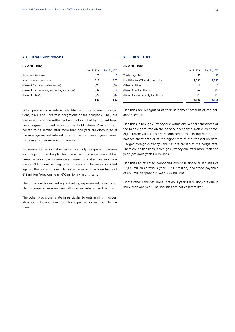### 20 Other Provisions

#### **(IN € MILLION)**

|                                              | Dec. 31, 2016 | Dec. 31, 2017 |
|----------------------------------------------|---------------|---------------|
| Provisions for taxes                         | 23            | 19            |
| Miscellaneous provisions                     | 213           | 275           |
| (thereof for personnel expenses)             | (92)          | (96)          |
| (thereof for marketing and selling expenses) | (66)          | (83)          |
| (thereof other)                              | (55)          | (96)          |
|                                              | 236           | 294           |

Other provisions include all identifiable future payment obligations, risks, and uncertain obligations of the company. They are measured using the settlement amount dictated by prudent business judgment to fund future payment obligations. Provisions expected to be settled after more than one year are discounted at the average market interest rate for the past seven years corresponding to their remaining maturity.

Provisions for personnel expenses primarily comprise provisions for obligations relating to flextime account balances, annual bonuses, vacation pay, severance agreements, and anniversary payments. Obligations relating to flextime account balances are offset against the corresponding dedicated asset – mixed-use funds of €19 million (previous year: €16 million) – in this item.

The provisions for marketing and selling expenses relate in particular to cooperative advertising allowances, rebates, and returns.

The other provisions relate in particular to outstanding invoices, litigation risks, and provisions for expected losses from derivatives.

## 21 Liabilities

#### **(IN € MILLION)**

|                                       | Dec. 31, 2016 | Dec. 31, 2017 |
|---------------------------------------|---------------|---------------|
| Trade payables                        | 55            | 60            |
| Liabilities to affiliated companies   | 2,031         | 2,250         |
| Other liabilities                     | 6             | 6             |
| (thereof tax liabilities)             | (4)           | (5)           |
| (thereof social security liabilities) | (1)           | (1)           |
|                                       | 2.092         | 2.316         |

Liabilities are recognized at their settlement amount at the balance sheet date.

Liabilities in foreign currency due within one year are translated at the middle spot rate on the balance sheet date. Non-current foreign currency liabilities are recognized at the closing rate on the balance sheet date or at the higher rate at the transaction date. Hedged foreign currency liabilities are carried at the hedge rate. There are no liabilities in foreign currency due after more than one year (previous year: €0 million).

Liabilities to affiliated companies comprise financial liabilities of €2,193 million (previous year: €1,987 million) and trade payables of €57 million (previous year: €44 million).

Of the other liabilities, none (previous year: €0 million) are due in more than one year. The liabilities are not collateralized.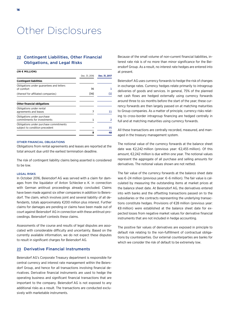## Other Disclosures

### 22 Contingent Liabilities, Other Financial Obligations, and Legal Risks

| (IN € MILLION)                                                           |               |               |
|--------------------------------------------------------------------------|---------------|---------------|
|                                                                          | Dec. 31, 2016 | Dec. 31, 2017 |
| <b>Contingent liabilities</b>                                            |               |               |
| Obligations under guarantees and letters<br>of comfort                   | 36            |               |
| (thereof for affiliated companies)                                       | (36)          | (1)           |
| <b>Other financial obligations</b>                                       |               |               |
| Obligations under rental<br>agreements and leases                        | 7             | 11            |
| Obligations under purchase<br>commitments for investments                |               | 2             |
| Obligations under purchase commitments<br>subject to condition precedent |               | 35            |
|                                                                          | 8             | 48            |

#### OTHER FINANCIAL OBLIGATIONS

Obligations from rental agreements and leases are reported at the total amount due until the earliest termination deadline.

The risk of contingent liability claims being asserted is considered to be low.

#### LEGAL RISKS

In October 2016, Beiersdorf AG was served with a claim for damages from the liquidator of Anton Schlecker e. K. in connection with German antitrust proceedings already concluded. Claims have been made against six other companies in addition to Beiersdorf. The claim, which involves joint and several liability of all defendants, totals approximately €200 million plus interest. Further claims for damages are pending or claims have been made out of court against Beiersdorf AG in connection with these antitrust proceedings. Beiersdorf contests these claims.

Assessments of the course and results of legal disputes are associated with considerable difficulty and uncertainty. Based on the currently available information, we do not expect these disputes to result in significant charges for Beiersdorf AG.

### 23 Derivative Financial Instruments

Beiersdorf AG's Corporate Treasury department is responsible for central currency and interest rate management within the Beiersdorf Group, and hence for all transactions involving financial derivatives. Derivative financial instruments are used to hedge the operating business and significant financial transactions that are important to the company. Beiersdorf AG is not exposed to any additional risks as a result. The transactions are conducted exclusively with marketable instruments.

Because of the small volume of non-current financial liabilities, interest rate risk is of no more than minor significance for the Beiersdorf Group. As a result, no interest rate hedges are entered into at present.

Beiersdorf AG uses currency forwards to hedge the risk of changes in exchange rates. Currency hedges relate primarily to intragroup deliveries of goods and services. In general, 75% of the planned net cash flows are hedged externally using currency forwards around three to six months before the start of the year; these currency forwards are then largely passed on at matching maturities to Group companies. As a matter of principle, currency risks relating to cross-border intragroup financing are hedged centrally in full and at matching maturities using currency forwards.

All these transactions are centrally recorded, measured, and managed in the treasury management system.

The notional value of the currency forwards at the balance sheet date was €2,242 million (previous year: €2,455 million). Of this amount, €2,242 million is due within one year. The notional values represent the aggregate of all purchase and selling amounts for derivatives. The notional values shown are not netted.

The fair value of the currency forwards at the balance sheet date was €–24 million (previous year: €–6 million). The fair value is calculated by measuring the outstanding items at market prices at the balance sheet date. At Beiersdorf AG, the derivatives entered into with banks and the offsetting transactions passed on to the subsidiaries or the contracts representing the underlying transactions constitute hedges. Provisions of €28 million (previous year: €8 million) were established at the balance sheet date for expected losses from negative market values for derivative financial instruments that are not included in hedge accounting.

The positive fair values of derivatives are exposed in principle to default risk relating to the non-fulfillment of contractual obligations by counterparties. Our external counterparties are banks for which we consider the risk of default to be extremely low.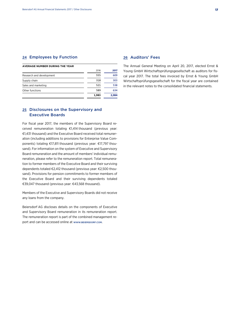#### 24 Employees by Function

#### **AVERAGE NUMBER DURING THE YEAR**

|                          | 2016  | 2017  |
|--------------------------|-------|-------|
| Research and development | 555   | 609   |
| Supply chain             | 318   | 303   |
| Sales and marketing      | 521   | 538   |
| Other functions          | 589   | 634   |
|                          | 1.983 | 2.084 |

## 25 Disclosures on the Supervisory and Executive Boards

For fiscal year 2017, the members of the Supervisory Board received remuneration totaling €1,414 thousand (previous year: €1,431 thousand) and the Executive Board received total remuneration (including additions to provisions for Enterprise Value Components) totaling €17,811 thousand (previous year: €17,797 thousand). For information on the system of Executive and Supervisory Board remuneration and the amount of members' individual remuneration, please refer to the remuneration report. Total remuneration to former members of the Executive Board and their surviving dependents totaled €2,412 thousand (previous year: €2,500 thousand). Provisions for pension commitments to former members of the Executive Board and their surviving dependents totaled €39,047 thousand (previous year: €43,568 thousand).

Members of the Executive and Supervisory Boards did not receive any loans from the company.

Beiersdorf AG discloses details on the components of Executive and Supervisory Board remuneration in its remuneration report. The remuneration report is part of the combined management report and can be accessed online at WWW.BEIERSDORF.COM.

#### 26 Auditors' Fees

The Annual General Meeting on April 20, 2017, elected Ernst & Young GmbH Wirtschaftsprüfungsgesellschaft as auditors for fiscal year 2017. The total fees invoiced by Ernst & Young GmbH Wirtschaftsprüfungsgesellschaft for the fiscal year are contained in the relevant notes to the consolidated financial statements.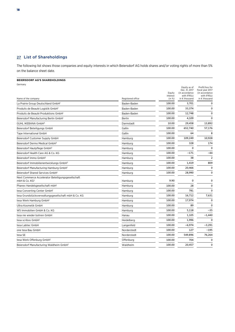## 27 List of Shareholdings

The following list shows those companies and equity interests in which Beiersdorf AG holds shares and/or voting rights of more than 5% on the balance sheet date.

## **BEIERSDORF AG'S SHAREHOLDINGS**

Germany

| Name of the company                                                             | Registered office | Equity<br>interest<br>(in %) | Equity as of<br>Dec. 31, 2017<br>(in accordance<br>with IFRSs)<br>in € thousand | Profit/loss for<br>fiscal year 2017<br>(in accordance<br>with IFRSs)<br>in € thousand |
|---------------------------------------------------------------------------------|-------------------|------------------------------|---------------------------------------------------------------------------------|---------------------------------------------------------------------------------------|
| La Prairie Group Deutschland GmbH <sup>1</sup>                                  | Baden-Baden       | 100.00                       | 3,701                                                                           | $\mathbf 0$                                                                           |
| Produits de Beauté Logistik GmbH <sup>1</sup>                                   | Baden-Baden       | 100.00                       | 33,374                                                                          | 0                                                                                     |
| Produits de Beauté Produktions GmbH <sup>1</sup>                                | Baden-Baden       | 100.00                       | 12,748                                                                          | $\mathbf 0$                                                                           |
| Beiersdorf Manufacturing Berlin GmbH <sup>1</sup>                               | <b>Berlin</b>     | 100.00                       | 4,109                                                                           | $\Omega$                                                                              |
| GUHL IKEBANA GmbH3                                                              | Darmstadt         | 10.00                        | 29,458                                                                          | 13,892                                                                                |
| Beiersdorf Beteiligungs GmbH                                                    | Gallin            | 100.00                       | 652,740                                                                         | 57,176                                                                                |
| Tape International GmbH                                                         | Gallin            | 100.00                       | 64                                                                              | 8                                                                                     |
| Beiersdorf Customer Supply GmbH                                                 | Hamburg           | 100.00                       | 109,249                                                                         | 10,928                                                                                |
| Beiersdorf Dermo Medical GmbH <sup>3</sup>                                      | Hamburg           | 100.00                       | 328                                                                             | 174                                                                                   |
| Beiersdorf Hautpflege GmbH <sup>2</sup>                                         | Hamburg           | 100.00                       | $\Omega$                                                                        | $\mathbf 0$                                                                           |
| Beiersdorf Health Care AG & Co. KG                                              | Hamburg           | 100.00                       | $-171$                                                                          | $-44$                                                                                 |
| Beiersdorf Immo GmbH3                                                           | Hamburg           | 100.00                       | 38                                                                              | $\overline{2}$                                                                        |
| Beiersdorf Immobilienentwicklungs GmbH3                                         | Hamburg           | 100.00                       | 1,419                                                                           | 809                                                                                   |
| Beiersdorf Manufacturing Hamburg GmbH <sup>1</sup>                              | Hamburg           | 100.00                       | 20,466                                                                          | 0                                                                                     |
| Beiersdorf Shared Services GmbH <sup>1</sup>                                    | Hamburg           | 100.00                       | 28,990                                                                          | 0                                                                                     |
| Next Commerce Accelerator Beteiligungsgesellschaft<br>mbH & Co. KG <sup>2</sup> | Hamburg           | 9.90                         | $\mathbf 0$                                                                     | 0                                                                                     |
| Phanex Handelsgesellschaft mbH <sup>1</sup>                                     | Hamburg           | 100.00                       | 28                                                                              | $\mathbf 0$                                                                           |
| tesa Converting Center GmbH <sup>1</sup>                                        | Hamburg           | 100.00                       | 781                                                                             | $\Omega$                                                                              |
| tesa Grundstücksverwaltungsgesellschaft mbH & Co. KG                            | Hamburg           | 100.00                       | 16,712                                                                          | 7,631                                                                                 |
| tesa Werk Hamburg GmbH <sup>1</sup>                                             | Hamburg           | 100.00                       | 17,974                                                                          | $\mathbf 0$                                                                           |
| Ultra Kosmetik GmbH                                                             | Hamburg           | 100.00                       | 89                                                                              | $\Omega$                                                                              |
| W5 Immobilien GmbH & Co. KG                                                     | Hamburg           | 100.00                       | 5,118                                                                           | $-35$                                                                                 |
| tesa nie wieder bohren GmbH                                                     | Hanau             | 100.00                       | 1,105                                                                           | $-1,440$                                                                              |
| tesa scribos GmbH <sup>1</sup>                                                  | Heidelberg        | 100.00                       | 1,996                                                                           | $\Omega$                                                                              |
| tesa Labtec GmbH                                                                | Langenfeld        | 100.00                       | $-6,974$                                                                        | $-3,291$                                                                              |
| one tesa Bau GmbH                                                               | Norderstedt       | 100.00                       | 127                                                                             | $-195$                                                                                |
| tesa SE                                                                         | Norderstedt       | 100.00                       | 549,896                                                                         | 76,264                                                                                |
| tesa Werk Offenburg GmbH <sup>1</sup>                                           | Offenburg         | 100.00                       | 704                                                                             | $\Omega$                                                                              |
| Beiersdorf Manufacturing Waldheim GmbH <sup>1</sup>                             | Waldheim          | 100.00                       | 20,457                                                                          | $\Omega$                                                                              |
|                                                                                 |                   |                              |                                                                                 |                                                                                       |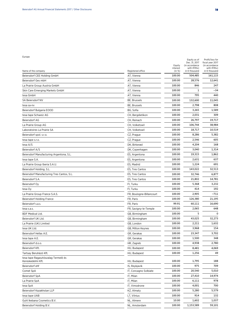#### Europe

|                                                          |                          |                    | Equity as of<br>Dec. 31, 2017 | Profit/loss for<br>fiscal year 2017 |
|----------------------------------------------------------|--------------------------|--------------------|-------------------------------|-------------------------------------|
|                                                          |                          | Equity<br>interest | (in accordance<br>with IFRSs) | (in accordance<br>with IFRSs)       |
| Name of the company                                      | Registered office        | (in %)             | in € thousand                 | in € thousand                       |
| Beiersdorf CEE Holding GmbH                              | AT, Vienna               | 100.00             | 504,485                       | 161,115                             |
| Beiersdorf Ges mbH                                       | AT, Vienna               | 100.00             | 28,576                        | 12,641                              |
| La Prairie Group Austria GmbH                            | AT, Vienna               | 100.00             | 846                           | 247                                 |
| Skin Care Emerging Markets GmbH                          | AT, Vienna               | 100.00             | 1                             | $-34$                               |
| tesa GmbH                                                | AT, Vienna               | 100.00             | 795                           | 440                                 |
| SA Beiersdorf NV                                         | BE, Brussels             | 100.00             | 132,600                       | 11,045                              |
| tesa sa-nv                                               | BE, Brussels             | 100.00             | 2,798                         | 808                                 |
| Beiersdorf Bulgaria EOOD                                 | BG, Sofia                | 100.00             | 3,265                         | 1,589                               |
| tesa tape Schweiz AG                                     | CH, Bergdietikon         | 100.00             | 2,031                         | 309                                 |
| Beiersdorf AG                                            | CH, Reinach              | 100.00             | 26,797                        | 19,717                              |
| La Prairie Group AG                                      | CH, Volketswil           | 100.00             | 106,744                       | 38,984                              |
| Laboratoires La Prairie SA                               | CH, Volketswil           | 100.00             | 18,717                        | 10,519                              |
| Beiersdorf spol. s.r.o.                                  | CZ, Prague               | 100.00             | 8,286                         | 5,382                               |
| tesa tape s.r.o.                                         | CZ, Prague               | 100.00             | 2,546                         | 605                                 |
| tesa A/S                                                 | DK, Birkerød             | 100.00             | 4,204                         | 168                                 |
| Beiersdorf A/S                                           | DK, Copenhagen           | 100.00             | 3,040                         | 1,314                               |
| Beiersdorf Manufacturing Argentona, S.L.                 | ES, Argentona            | 100.00             | 19,315                        | 1,862                               |
| tesa tape S.A.                                           | ES, Argentona            | 100.00             | 2,631                         | 637                                 |
| La Prairie Group Iberia S.A.U.                           | ES, Madrid               | 100.00             | 1,224                         | 691                                 |
| Beiersdorf Holding, S.L.                                 | ES, Tres Cantos          | 100.00             | 143,022                       | 32,513                              |
| Beiersdorf Manufacturing Tres Cantos, S.L.               | ES, Tres Cantos          | 100.00             | 32,746                        | 6,877                               |
| Beiersdorf S.A.                                          | ES, Tres Cantos          | 100.00             | 21,802                        | 14,781                              |
| Beiersdorf Oy                                            | FI, Turku                | 100.00             | 5,368                         | 3,232                               |
| tesa Oy                                                  | FI, Turku                | 100.00             | 414                           | 192                                 |
| La Prairie Group France S.A.S.                           | FR, Boulogne-Billancourt | 100.00             | 2,905                         | $-711$                              |
| <b>Beiersdorf Holding France</b>                         | FR, Paris                | 100.00             | 126,380                       | 21,195                              |
| Beiersdorf s.a.s.                                        | FR, Paris                | 99.91              | 60,111                        | 16,690                              |
| tesa s.a.s.                                              | FR, Savigny-le-Temple    | 100.00             | 2,065                         | 648                                 |
| <b>BDF Medical Ltd.</b>                                  | GB, Birmingham           | 100.00             | 5                             | $\Omega$                            |
| Beiersdorf UK Ltd.                                       | GB, Birmingham           | 100.00             | 43,025                        | 32,273                              |
| La Prairie (UK) Limited                                  | GB, London               | 100.00             | 2,211                         | 1,632                               |
| tesa UK Ltd.                                             | GB, Milton Keynes        | 100.00             | 3,968                         | 154                                 |
| Beiersdorf Hellas A.E.                                   | GR, Gerakas              | 100.00             | 23,347                        | 3,702                               |
| tesa tape A.E.                                           | GR, Gerakas              | 100.00             | 1,500                         | 348                                 |
| Beiersdorf d.o.o.                                        | HR, Zagreb               | 100.00             | 4,938                         | 2,780                               |
| Beiersdorf Kft.                                          | HU, Budapest             | 100.00             | 8,481                         | 4,069                               |
| Tartsay Beruházó Kft.                                    | HU, Budapest             | 100.00             | 1,256                         | 49                                  |
| tesa tape Ragasztószalag Termelö és<br>Kereskedelmi Kft. | HU, Budapest             | 100.00             | 1,795                         | 188                                 |
| Beiersdorf ehf                                           | IS, Reykjavík            | 100.00             | 975                           | 709                                 |
| Comet SpA                                                | IT, Concagno Solbiate    | 100.00             | 20,540                        | 5,010                               |
| Beiersdorf SpA                                           | IT, Milan                | 100.00             | 27,410                        | 14,974                              |
| La Prairie SpA                                           | IT, Milan                | 100.00             | 6,111                         | 978                                 |
| tesa SpA                                                 | IT, Vimodrone            | 100.00             | 4,001                         | 700                                 |
| Beiersdorf Kazakhstan LLP                                | KZ, Almaty               | 100.00             | 5,280                         | 5,579                               |
| tesa tape UAB                                            | LT, Vilnius              | 100.00             | 914                           | 132                                 |
| Guhl Ikebana Cosmetics B.V.                              | NL, Almere               | 10.00              | 1,602                         | 1,037                               |
| Beiersdorf Holding B.V.                                  | NL, Amsterdam            | 100.00             | 1,153,589                     | 59,101                              |
|                                                          |                          |                    |                               |                                     |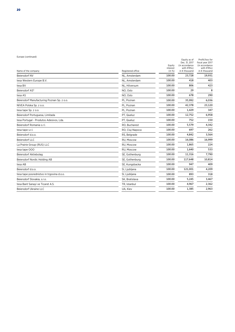| Name of the company                        | Registered office | Equity<br>interest<br>(in %) | Equity as of<br>Dec. 31, 2017<br>(in accordance<br>with IFRSs)<br>in € thousand | Profit/loss for<br>fiscal year 2017<br>(in accordance<br>with IFRSs)<br>in € thousand |
|--------------------------------------------|-------------------|------------------------------|---------------------------------------------------------------------------------|---------------------------------------------------------------------------------------|
| Beiersdorf NV                              | NL, Amsterdam     | 100.00                       | 23,728                                                                          | 19,931                                                                                |
| tesa Western Europe B.V.                   | NL, Amsterdam     | 100.00                       | 418                                                                             | 403                                                                                   |
| tesa BV                                    | NL. Hilversum     | 100.00                       | 806                                                                             | 423                                                                                   |
| Beiersdorf AS3                             | NO, Oslo          | 100.00                       | 29                                                                              | 8                                                                                     |
| tesa AS                                    | NO. Oslo          | 100.00                       | 678                                                                             | 290                                                                                   |
| Beiersdorf Manufacturing Poznan Sp. z o.o. | PL, Poznan        | 100.00                       | 35,992                                                                          | 6,036                                                                                 |
| NIVEA Polska Sp. z o.o.                    | PL, Poznan        | 100.00                       | 42,378                                                                          | 23,120                                                                                |
| tesa tape Sp. z o.o.                       | PL, Poznan        | 100.00                       | 1,429                                                                           | 347                                                                                   |
| Beiersdorf Portuguesa, Limitada            | PT. Queluz        | 100.00                       | 12,752                                                                          | 6,958                                                                                 |
| tesa Portugal - Produtos Adesivos, Lda.    | PT, Queluz        | 100.00                       | 752                                                                             | 150                                                                                   |
| Beiersdorf Romania s.r.l.                  | RO, Bucharest     | 100.00                       | 5,579                                                                           | 4,342                                                                                 |
| tesa tape s.r.l.                           | RO, Cluj-Napoca   | 100.00                       | 697                                                                             | 262                                                                                   |
| Beiersdorf d.o.o.                          | RS, Belgrade      | 100.00                       | 4,842                                                                           | 3,564                                                                                 |
| Beiersdorf LLC                             | RU. Moscow        | 100.00                       | 16,086                                                                          | 16,999                                                                                |
| La Prairie Group (RUS) LLC                 | RU. Moscow        | 100.00                       | 1,865                                                                           | 224                                                                                   |
| tesa tape OOO                              | RU, Moscow        | 100.00                       | 1,640                                                                           | 533                                                                                   |
| Beiersdorf Aktiebolag                      | SE, Gothenburg    | 100.00                       | 11,316                                                                          | 7,790                                                                                 |
| Beiersdorf Nordic Holding AB               | SE, Gothenburg    | 100.00                       | 117,648                                                                         | 10,814                                                                                |
| tesa AB                                    | SE, Kungsbacka    | 100.00                       | 947                                                                             | 409                                                                                   |
| Beiersdorf d.o.o.                          | SI, Ljubljana     | 100.00                       | 121.001                                                                         | 4,209                                                                                 |
| tesa tape posrednistvo in trgovina d.o.o.  | SI, Ljubljana     | 100.00                       | 893                                                                             | 318                                                                                   |
| Beiersdorf Slovakia, s.r.o.                | SK, Bratislava    | 100.00                       | 5,245                                                                           | 3,467                                                                                 |
| tesa Bant Sanayi ve Ticaret A.S.           | TR, Istanbul      | 100.00                       | 4,967                                                                           | 2,362                                                                                 |
| Beiersdorf Ukraine LLC                     | UA, Kiev          | 100.00                       | 1,385                                                                           | 2,963                                                                                 |
|                                            |                   |                              |                                                                                 |                                                                                       |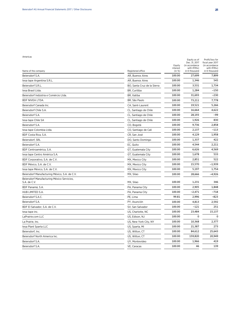#### Americas

| Name of the company                                        | Registered office           | Equity<br>interest<br>(in %) | Equity as of<br>Dec. 31, 2017<br>(in accordance<br>with IFRSs)<br>in $\epsilon$ thousand | Profit/loss for<br>fiscal year 2017<br>(in accordance<br>with IFRSs)<br>in € thousand |
|------------------------------------------------------------|-----------------------------|------------------------------|------------------------------------------------------------------------------------------|---------------------------------------------------------------------------------------|
| Beiersdorf S.A.                                            | AR, Buenos Aires            | 100.00                       | 27,699                                                                                   | 7,899                                                                                 |
| tesa tape Argentina S.R.L.                                 | AR, Buenos Aires            | 100.00                       | 1,346                                                                                    | 545                                                                                   |
| Beiersdorf S.R.L.                                          | BO, Santa Cruz de la Sierra | 100.00                       | 3,531                                                                                    | 1,734                                                                                 |
| tesa Brasil Ltda.                                          | BR, Curitiba                | 100.00                       | 1,284                                                                                    | $-150$                                                                                |
| Beiersdorf Indústria e Comércio Ltda.                      | BR, Itatiba                 | 100.00                       | 31,693                                                                                   | $-230$                                                                                |
| BDF NIVEA LTDA.                                            | BR, São Paulo               | 100.00                       | 73,211                                                                                   | 7,778                                                                                 |
| Beiersdorf Canada Inc.                                     | CA, Saint-Laurent           | 100.00                       | 19,521                                                                                   | 5,266                                                                                 |
| Beiersdorf Chile S.A.                                      | CL, Santiago de Chile       | 100.00                       | 16,664                                                                                   | 4,622                                                                                 |
| Beiersdorf S.A.                                            | CL, Santiago de Chile       | 100.00                       | 28,193                                                                                   | $-99$                                                                                 |
| tesa tape Chile SA                                         | CL, Santiago de Chile       | 100.00                       | 1,926                                                                                    | 830                                                                                   |
| Beiersdorf S.A.                                            | CO, Bogotá                  | 100.00                       | 9,736                                                                                    | 2,858                                                                                 |
| tesa tape Colombia Ltda.                                   | CO, Santiago de Cali        | 100.00                       | 2,137                                                                                    | $-113$                                                                                |
| BDF Costa Rica, S.A.                                       | CR, San José                | 100.00                       | 4,129                                                                                    | 1,958                                                                                 |
| Beiersdorf, SRL                                            | DO, Santo Domingo           | 100.00                       | 1,337                                                                                    | 422                                                                                   |
| Beiersdorf S.A.                                            | EC, Quito                   | 100.00                       | 4,544                                                                                    | 2,211                                                                                 |
| BDF Centroamérica, S.A.                                    | GT, Guatemala City          | 100.00                       | 6,626                                                                                    | 4,569                                                                                 |
| tesa tape Centro América S.A.                              | GT, Guatemala City          | 100.00                       | 1,678                                                                                    | 533                                                                                   |
| BDF Corporativo, S.A. de C.V.                              | MX, Mexico City             | 100.00                       | 2,851                                                                                    | 522                                                                                   |
| BDF México, S.A. de C.V.                                   | MX, Mexico City             | 100.00                       | 15,570                                                                                   | $-1,939$                                                                              |
| tesa tape México, S.A. de C.V.                             | MX, Mexico City             | 100.00                       | 5,197                                                                                    | 1,754                                                                                 |
| Beiersdorf Manufacturing México, S.A. de C.V.              | MX, Silao                   | 100.00                       | 28,666                                                                                   | $-4,926$                                                                              |
| Beiersdorf Manufacturing México Servicios,<br>S.A. de C.V. | MX, Silao                   | 100.00                       | 1,231                                                                                    | 346                                                                                   |
| BDF Panamá, S.A.                                           | PA, Panama City             | 100.00                       | 2,905                                                                                    | 1,848                                                                                 |
| HUB LIMITED S.A.                                           | PA, Panama City             | 100.00                       | $-2,471$                                                                                 | $-718$                                                                                |
| Beiersdorf S.A.C.                                          | PE, Lima                    | 99.81                        | 2,996                                                                                    | $-823$                                                                                |
| Beiersdorf S.A.                                            | PY, Asunción                | 100.00                       | 4,813                                                                                    | 2,592                                                                                 |
| BDF El Salvador, S.A. de C.V.                              | SV, San Salvador            | 100.00                       | $-121$                                                                                   | 251                                                                                   |
| tesa tape inc.                                             | US, Charlotte, NC           | 100.00                       | 23,484                                                                                   | 15,137                                                                                |
| LaPrairie.com LLC                                          | US, Edison, NJ              | 100.00                       | 0                                                                                        | $\mathbf{0}$                                                                          |
| La Prairie, Inc.                                           | US, New York City, NY       | 100.00                       | 10,368                                                                                   | 2,377                                                                                 |
| tesa Plant Sparta LLC                                      | US, Sparta, MI              | 100.00                       | 21,387                                                                                   | 273                                                                                   |
| Beiersdorf, Inc.                                           | US, Wilton, CT              | 100.00                       | 84,612                                                                                   | 25,643                                                                                |
| Beiersdorf North America Inc.                              | US, Wilton, CT              | 100.00                       | 159,820                                                                                  | 20,949                                                                                |
| Beiersdorf S.A.                                            | UY, Montevideo              | 100.00                       | 1,966                                                                                    | 419                                                                                   |
| Beiersdorf S.A.                                            | VE, Caracas                 | 100.00                       | 46                                                                                       | 139                                                                                   |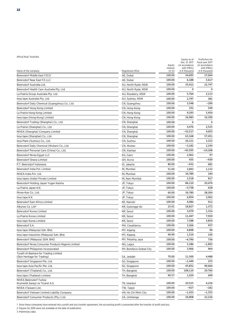| Name of the company                                | Registered office         | Equity<br>interest<br>(in %) | Dec. 31, 2017<br>(in accordance<br>with IFRSs)<br>in € thousand | fiscal year 2017<br>(in accordance<br>with IFRSs)<br>in € thousand |
|----------------------------------------------------|---------------------------|------------------------------|-----------------------------------------------------------------|--------------------------------------------------------------------|
| Beiersdorf Middle East FZCO                        | AE, Dubai                 | 100.00                       | 34,695                                                          | 27,064                                                             |
| Beiersdorf Near East FZ-LLC                        | AE, Dubai                 | 100.00                       | 6,188                                                           | 5,617                                                              |
| Beiersdorf Australia Ltd.                          | AU, North Ryde, NSW       | 100.00                       | 35,412                                                          | 22,747                                                             |
| Beiersdorf Health Care Australia Pty. Ltd.         | AU, North Ryde, NSW       | 100.00                       | $\mathbf 0$                                                     | C                                                                  |
| La Prairie Group Australia Pty. Ltd.               | AU, Rosebery, NSW         | 100.00                       | 5,764                                                           | 2,113                                                              |
| tesa tape Australia Pty. Ltd.                      | AU, Sydney, NSW           | 100.00                       | 2,797                                                           | 381                                                                |
| Beiersdorf Daily Chemical (Guangzhou) Co., Ltd.    | CN, Guangzhou             | 100.00                       | 3,548                                                           | -290                                                               |
| Beiersdorf Hong Kong Limited                       | CN, Hong Kong             | 100.00                       | 332                                                             | 549                                                                |
| La Prairie Hong Kong Limited                       | CN, Hong Kong             | 100.00                       | 9,293                                                           | 5,454                                                              |
| tesa tape (Hong Kong) Limited                      | CN, Hong Kong             | 100.00                       | 26,983                                                          | 10,390                                                             |
| Beiersdorf Trading (Shanghai) Co., Ltd.            | CN, Shanghai              | 100.00                       | 0                                                               | C                                                                  |
| La Prairie (Shanghai) Co., Ltd.                    | CN, Shanghai              | 100.00                       | 4,476                                                           | 2,525                                                              |
| NIVEA (Shanghai) Company Limited                   | CN, Shanghai              | 100.00                       | $-32,517$                                                       | 4,003                                                              |
| tesa tape (Shanghai) Co., Ltd.                     | CN, Shanghai              | 100.00                       | 63,168                                                          | 57,451                                                             |
| tesa Plant (Suzhou) Co., Ltd.                      | CN, Suzhou                | 100.00                       | 26,121                                                          | 2,222                                                              |
| Beiersdorf Daily Chemical (Wuhan) Co., Ltd.        | CN, Wuhan                 | 100.00                       | $-3,182$                                                        | 2,194                                                              |
| Beiersdorf Personal Care (China) Co., Ltd.         | CN, Xiantao               | 100.00                       | $-43,595$                                                       | $-14,208$                                                          |
| Beiersdorf Nivea Egypt LLC                         | EG, Cairo                 | 100.00                       | 2,062                                                           | 97                                                                 |
| Beiersdorf Ghana Limited                           | GH, Accra                 | 100.00                       | 435                                                             | $-439$                                                             |
| P.T. Beiersdorf Indonesia                          | ID, Jakarta               | 80.00                        | $-432$                                                          | 681                                                                |
| Beiersdorf India Pvt. Limited                      | IN, Mumbai                | 51.00                        | 2,893                                                           | 1,132                                                              |
| NIVEA India Pvt. Ltd.                              | IN, Mumbai                | 100.00                       | 34,789                                                          | 194                                                                |
| tesa tapes (India) Private Limited                 | IN, Navi Mumbai           | 100.00                       | 2,518                                                           | 817                                                                |
| Beiersdorf Holding Japan Yugen Kaisha              | JP, Tokyo                 | 100.00                       | 86,110                                                          | 20,476                                                             |
| La Prairie Japan K.K.                              | JP, Tokyo                 | 100.00                       | $-3,738$                                                        | 628                                                                |
| Nivea-Kao Co., Ltd.                                | JP, Tokyo                 | 60.00                        | 39,780                                                          | 38,304                                                             |
| tesa tape K.K.                                     | JP, Tokyo                 | 100.00                       | 6,854                                                           | 2,062                                                              |
| Beiersdorf East Africa Limited                     | KE, Nairobi               | 100.00                       | 4,084                                                           | 912                                                                |
| Alkynes Co. Ltd <sup>3</sup>                       | KR, Gyeonggi-do           | 25.01                        | 18,827                                                          | 1,372                                                              |
| Beiersdorf Korea Limited                           | KR, Seoul                 | 100.00                       | 3,079                                                           | 1,314                                                              |
| La Prairie Korea Limited                           | KR, Seoul                 | 100.00                       | 11,447                                                          | 7,920                                                              |
| tesa tape Korea Limited                            | KR, Seoul                 | 100.00                       | 7,588                                                           | 3,854                                                              |
| Beiersdorf S.A.                                    | MA, Casablanca            | 100.00                       | 3,266                                                           | 937                                                                |
| tesa tape (Malaysia) Sdn. Bhd.                     | MY, Kajang                | 100.00                       | 4,848                                                           | 96                                                                 |
| tesa tape Industries (Malaysia) Sdn. Bhd.          | MY, Kajang                | 99.99                        | 1,519                                                           | 140                                                                |
| Beiersdorf (Malaysia) SDN. BHD.                    | MY, Petaling Jaya         | 100.00                       | -4,790                                                          | 736                                                                |
| Beiersdorf Nivea Consumer Products Nigeria Limited | NG, Lagos                 | 100.00                       | 5,286                                                           | $-1,892$                                                           |
| Beiersdorf Philippines Incorporated                | PH, Bonifacio Global City | 100.00                       | 3,966                                                           | 964                                                                |
| Turath Al-Bashara for Trading Limited              |                           |                              |                                                                 |                                                                    |
| (Skin Heritage for Trading)                        | SA, Jeddah                | 70.00                        | 11,300                                                          | 4,488                                                              |
| Beiersdorf Singapore Pte. Ltd.                     | SG, Singapore             | 100.00                       | $-1,449$                                                        | 255                                                                |
| tesa tape Asia Pacific Pte. Ltd.                   | SG, Singapore             | 100.00                       | 45,852                                                          | 40,666                                                             |
| Beiersdorf (Thailand) Co., Ltd.                    | TH, Bangkok               | 100.00                       | 108,110                                                         | 29,760                                                             |
| tesa tape (Thailand) Limited                       | TH, Bangkok               | 90.57                        | 1,029                                                           | 699                                                                |
| NIVEA Beiersdorf Turkey                            |                           |                              |                                                                 |                                                                    |
| Kozmetik Sanayi ve Ticaret A.S.                    | TR, Istanbul              | 100.00                       | 20,525                                                          | 4,226                                                              |
| NIVEA (Taiwan) Ltd.                                | TW, Taipei                | 100.00                       | $-927$                                                          | $-182$                                                             |
| Beiersdorf Vietnam Limited Liability Company       | VN, Ho Chi Minh City      | 100.00                       | $-1,433$                                                        | $-1,355$                                                           |
| Beiersdorf Consumer Products (Pty.) Ltd.           | ZA, Umhlanga              | 100.00                       | 26,808                                                          | 22,226                                                             |

Equity as of Profit/loss for

1 Since these companies have entered into a profit and loss transfer agreement, the accounting profit is presented after the transfer of profit and loss.

2 Figures for 2016 were not available at the date of publication.

3 Preliminary data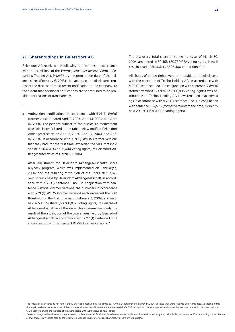#### 28 Shareholdings in Beiersdorf AG

Beiersdorf AG received the following notifications in accordance with the provisions of the *Wertpapierhandelsgesetz* (German Securities Trading Act, *WpHG*), by the preparation date of the balance sheet (February 6, 2018).\* In each case, the disclosures represent the disclosers' most recent notification to the company, to the extent that additional notifications are not required to be provided for reasons of transparency.

1.

a) Voting right notifications in accordance with § 21 (1) *WpHG* (former version) dated April 2, 2004; April 14, 2004; and April 16, 2004. The persons subject to the disclosure requirement (the "disclosers") listed in the table below notified Beiersdorf Aktiengesellschaft on April 2, 2004, April 14, 2004, and April 16, 2004, in accordance with § 21 (1) *WpHG* (former version) that they had, for the first time, exceeded the 50% threshold and held 50.46% (42,386,400 voting rights) of Beiersdorf Aktiengesellschaft as of March 30, 2004.

 After adjustment for Beiersdorf Aktiengesellschaft's share buyback program, which was implemented on February 3, 2004, and the resulting attribution of the 9.99% (8,393,672 own shares) held by Beiersdorf Aktiengesellschaft in accordance with § 22 (1) sentence 1 no. 1 in conjunction with sentence 3 *WpHG (*former version), the disclosers in accordance with § 21 (1) *WpHG* (former version) each exceeded the 50% threshold for the first time as of February 3, 2004, and each held a 59.95% share (50,360,072 voting rights) in Beiersdorf Aktiengesellschaft as of this date. This increase was solely the result of the attribution of the own shares held by Beiersdorf Aktiengesellschaft in accordance with § 22 (1) sentence 1 no. 1 in conjunction with sentence 3 *WpHG* (former version).\*\*

The disclosers' total share of voting rights as of March 30, 2004, amounted to 60.45% (50,780,072 voting rights) in each case instead of 50.46% (42,386,400 voting rights).\*\*

 All shares of voting rights were attributable to the disclosers, with the exception of Tchibo Holding AG, in accordance with § 22 (1) sentence 1 no. 1 in conjunction with sentence 3 *WpHG* (former version). 30.36% (25,500,805 voting rights) was attributable to Tchibo Holding AG (now renamed maxingvest ag) in accordance with § 22 (1) sentence 1 no. 1 in conjunction with sentence 3 *WpHG* (former version); at the time, it directly held 20.10% (16,884,000 voting rights).

 <sup>\*</sup> The following disclosures do not reflect the 1:3 share split resolved by the company's Annual General Meeting on May 17, 2006, because they were received before this date. As a result of this share split, each no-par value share of the company with a notional interest in the share capital of €2.56 was split into three no-par value shares with a notional interest in the share capital of €1.00 each (following the increase of the share capital without the issue of new shares).

 <sup>\*\*</sup> Due to a change in the administrative practice of the *Bundesanstalt für Finanzdienstleistungsaufsicht* (Federal Financial Supervisory Authority, *BaFin*) in December 2014 concerning the attribution of own shares, own shares held by the issuer are no longer counted towards a shareholder's share of voting rights.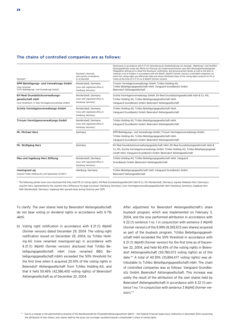#### The chains of controlled companies are as follows:

| Discloser*                                                                                                | Discloser's domicile<br>and country of residence<br>or of domicile          | Disclosures in accordance with § 17 (2) Verordnung zur Konkretisierung von Anzeige-, Mitteilungs- und Veröffen-<br>tlichungspflichten sowie der Pflicht zur Führung von Insiderverzeichnissen nach dem Wertpapierhandelsgesetz<br>(Regulation setting out in detail the disclosure, notification, and announcement duties as well as the duty to<br>maintain a list of insiders in accordance with the WpHG, WpA/V) (former version) (controlled companies via<br>which the voting rights are effectively held and whose attributed share of the voting rights amounts to 3% or<br>more) at the time of § 17 (1) no. 6 WpAIV (former version) |  |
|-----------------------------------------------------------------------------------------------------------|-----------------------------------------------------------------------------|-----------------------------------------------------------------------------------------------------------------------------------------------------------------------------------------------------------------------------------------------------------------------------------------------------------------------------------------------------------------------------------------------------------------------------------------------------------------------------------------------------------------------------------------------------------------------------------------------------------------------------------------------|--|
| SPM Beteiligungs- und Verwaltungs GmbH<br>(now renamed<br>S.P.M. Beteiligungs- und Verwaltungs GmbH)      | Norderstedt, Germany<br>(now with registered office in<br>Hamburg, Germany) | Trivium Vermögensverwaltungs GmbH, Tchibo Holding AG,<br>Tchibo Beteiligungsgesellschaft mbH, Vanguard Grundbesitz GmbH,<br>Beiersdorf Aktiengesellschaft                                                                                                                                                                                                                                                                                                                                                                                                                                                                                     |  |
| EH Real Grundstücksverwaltungs-<br>gesellschaft mbH<br>(now renamed E. H. Real Vermögensverwaltungs GmbH) | Norderstedt, Germany<br>(now with registered office in<br>Hamburg, Germany) | Scintia Vermögensverwaltungs GmbH, EH Real Grundstücksgesellschaft mbH & Co. KG,<br>Tchibo Holding AG, Tchibo Beteiligungsgesellschaft mbH,<br>Vanguard Grundbesitz GmbH, Beiersdorf Aktiengesellschaft                                                                                                                                                                                                                                                                                                                                                                                                                                       |  |
| Scintia Vermögensverwaltungs GmbH                                                                         | Norderstedt, Germany<br>(now with registered office in<br>Hamburg, Germany) | Tchibo Holding AG, Tchibo Beteiligungsgesellschaft mbH,<br>Vanguard Grundbesitz GmbH, Beiersdorf Aktiengesellschaft                                                                                                                                                                                                                                                                                                                                                                                                                                                                                                                           |  |
| Trivium Vermögensverwaltungs GmbH                                                                         | Norderstedt, Germany<br>(now with registered office in<br>Hamburg, Germany) | Tchibo Holding AG, Tchibo Beteiligungsgesellschaft mbH,<br>Vanguard Grundbesitz GmbH, Beiersdorf Aktiengesellschaft                                                                                                                                                                                                                                                                                                                                                                                                                                                                                                                           |  |
| Mr. Michael Herz                                                                                          | Germany                                                                     | SPM Beteiligungs- und Verwaltungs GmbH, Trivium Vermögensverwaltungs GmbH,<br>Tchibo Holding AG, Tchibo Beteiligungsgesellschaft mbH,<br>Vanguard Grundbesitz GmbH, Beiersdorf Aktiengesellschaft                                                                                                                                                                                                                                                                                                                                                                                                                                             |  |
| Mr. Wolfgang Herz                                                                                         | Germany                                                                     | EH Real Grundstücksverwaltungsgesellschaft mbH, EH Real Grundstücksgesellschaft mbH &<br>Co. KG, Scintia Vermögensverwaltungs GmbH, Tchibo Holding AG, Tchibo Beteiligungsgesell-<br>schaft mbH, Vanguard Grundbesitz GmbH, Beiersdorf Aktiengesellschaft                                                                                                                                                                                                                                                                                                                                                                                     |  |
| Max und Ingeburg Herz Stiftung                                                                            | Norderstedt, Germany<br>(now with registered office in<br>Hamburg, Germany) | Tchibo Holding AG, Tchibo Beteiligungsgesellschaft mbH, Vanguard<br>Grundbesitz GmbH, Beiersdorf Aktiengesellschaft                                                                                                                                                                                                                                                                                                                                                                                                                                                                                                                           |  |
| maxingvest ag<br>(named Tchibo Holding AG until September 12,2007)                                        | Hamburg, Germany                                                            | Tchibo Beteiligungsgesellschaft mbH, Vanguard Grundbesitz GmbH,<br>Beiersdorf Aktiengesellschaft                                                                                                                                                                                                                                                                                                                                                                                                                                                                                                                                              |  |

\* The following parties have since disclosed that they hold 0% (0 voting rights): EH Real Grundstücksgesellschaft mbH & Co. KG (Norderstedt, Germany); Agneta Peleback-Herz (Germany); Joachim Herz, represented by the Joachim Herz Stiftung as his legal successor (Hamburg, Germany); Coro Vermögensverwaltungsgesellschaft mbH (Hamburg, Germany); Ingeburg Herz GbR (Norderstedt, Germany). Ingeburg Herz passed away during financial year 2015.

To clarify: The own shares held by Beiersdorf Aktiengesellschaft do not bear voting or dividend rights in accordance with § 71b *AktG*.

b) Voting right notification in accordance with § 21 (1) *WpHG* (former version) dated December 29, 2004. The voting right notification issued on December 29, 2004, by Tchibo Holding AG (now renamed maxingvest ag) in accordance with § 21 (1) *WpHG* (former version) disclosed that Tchibo Beteiligungsgesellschaft mbH (now renamed BBG Beteiligungsgesellschaft mbH) exceeded the 50% threshold for the first time when it acquired 20.10% of the voting rights in Beiersdorf Aktiengesellschaft from Tchibo Holding AG, and that it held 50.46% (42,386,400 voting rights) of Beiersdorf Aktiengesellschaft as of December 22, 2004.

After adjustment for Beiersdorf Aktiengesellschaft's share buyback program, which was implemented on February 3, 2004, and the now performed attribution in accordance with § 22 (1) sentence 1 no. 1 in conjunction with sentence 3 *WpHG* (former version) of the 9.99% (8,393,672 own shares) acquired as part of the buyback program, Tchibo Beteiligungsgesellschaft mbH exceeded the 50% threshold in accordance with § 21 (1) *WpHG* (former version) for the first time as of December 22, 2004, and held 60.45% of the voting rights in Beiersdorf Aktiengesellschaft (50,780,072 voting rights) as of this date.\*\* A total of 40.35% (33,894,477 voting rights) was attributable to Tchibo Beteiligungsgesellschaft mbH. The chain of controlled companies was as follows: Vanguard Grundbesitz GmbH, Beiersdorf Aktiengesellschaft. This increase was solely the result of the attribution of the own shares held by Beiersdorf Aktiengesellschaft in accordance with § 22 (1) sentence 1 no. 1 in conjunction with sentence 3 *WpHG* (former version).\*\*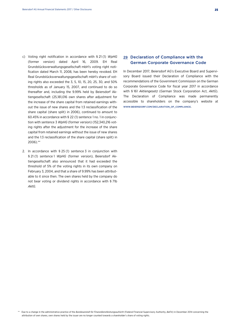- c) Voting right notification in accordance with § 21 (1) *WpHG* (former version) dated April 16, 2009. EH Real Grundstücksverwaltungsgesellschaft mbH's voting right notification dated March 11, 2008, has been hereby revoked. EH Real Grundstücksverwaltungsgesellschaft mbH's share of voting rights also exceeded the 3, 5, 10, 15, 20, 25, 30, and 50% thresholds as of January 15, 2007, and continued to do so thereafter and, including the 9.99% held by Beiersdorf Aktiengesellschaft (25,181,016 own shares after adjustment for the increase of the share capital from retained earnings without the issue of new shares and the 1:3 reclassification of the share capital (share split) in 2006), continued to amount to 60.45% in accordance with § 22 (1) sentence 1 no. 1 in conjunction with sentence 3 *WpHG* (former version) (152,340,216 voting rights after the adjustment for the increase of the share capital from retained earnings without the issue of new shares and the 1:3 reclassification of the share capital (share split) in 2006).\*\*
- 2. In accordance with § 25 (1) sentence 3 in conjunction with § 21 (1) sentence 1 *WpHG* (former version), Beiersdorf Aktiengesellschaft also announced that it had exceeded the threshold of 5% of the voting rights in its own company on February 3, 2004, and that a share of 9.99% has been attributable to it since then. The own shares held by the company do not bear voting or dividend rights in accordance with § 71b *AktG*.

## 29 Declaration of Compliance with the German Corporate Governance Code

In December 2017, Beiersdorf AG's Executive Board and Supervisory Board issued their Declaration of Compliance with the recommendations of the Government Commission on the German Corporate Governance Code for fiscal year 2017 in accordance with § 161 *Aktiengesetz* (German Stock Corporation Act, *AktG*). The Declaration of Compliance was made permanently accessible to shareholders on the company's website at WWW.BEIERSDORF.COM/DECLARATION\_OF\_COMPLIANCE.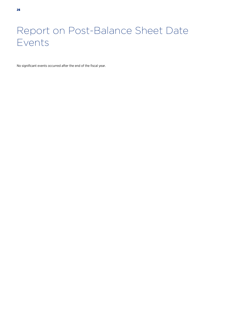## Report on Post-Balance Sheet Date Events

No significant events occurred after the end of the fiscal year.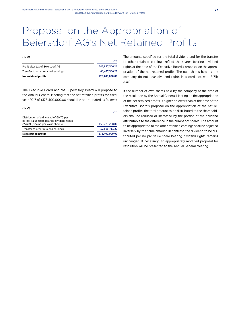## Proposal on the Appropriation of Beiersdorf AG's Net Retained Profits

#### **(IN €)**

| <b>Net retained profits</b>         | 176,400,000,00 |
|-------------------------------------|----------------|
| Transfer to other retained earnings | 66.477.506.21  |
| Profit after tax of Beiersdorf AG   | 242,877,506.21 |
|                                     | 2017           |

The Executive Board and the Supervisory Board will propose to the Annual General Meeting that the net retained profits for fiscal year 2017 of €176,400,000.00 should be appropriated as follows:

| (IN E)                                                                                                                     |                |
|----------------------------------------------------------------------------------------------------------------------------|----------------|
|                                                                                                                            | 2017           |
| Distribution of a dividend of €0.70 per<br>no-par value share bearing dividend rights<br>(226,818,984 no-par value shares) | 158.773.288.80 |
| Transfer to other retained earnings                                                                                        | 17,626,711.20  |
| <b>Net retained profits</b>                                                                                                | 176,400,000.00 |
|                                                                                                                            |                |

The amounts specified for the total dividend and for the transfer to other retained earnings reflect the shares bearing dividend rights at the time of the Executive Board's proposal on the appropriation of the net retained profits. The own shares held by the company do not bear dividend rights in accordance with § 71b *AktG*.

If the number of own shares held by the company at the time of the resolution by the Annual General Meeting on the appropriation of the net retained profits is higher or lower than at the time of the Executive Board's proposal on the appropriation of the net retained profits, the total amount to be distributed to the shareholders shall be reduced or increased by the portion of the dividend attributable to the difference in the number of shares. The amount to be appropriated to the other retained earnings shall be adjusted inversely by the same amount. In contrast, the dividend to be distributed per no-par value share bearing dividend rights remains unchanged. If necessary, an appropriately modified proposal for resolution will be presented to the Annual General Meeting.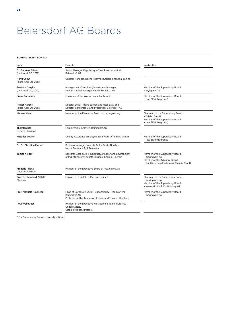## Beiersdorf AG Boards

#### **SUPERVISORY BOARD**

| Name                                              | Profession                                                                                                                       | Memberships                                                                                                                     |  |
|---------------------------------------------------|----------------------------------------------------------------------------------------------------------------------------------|---------------------------------------------------------------------------------------------------------------------------------|--|
| Dr. Andreas Albrod<br>(until April 20, 2017)      | Senior Manager Regulatory Affairs Pharmaceutical,<br>Beiersdorf AG                                                               |                                                                                                                                 |  |
| <b>Hong Chow</b><br>(since April 20, 2017)        | General Manager, Roche Pharmaceuticals, Shanghai (China)                                                                         |                                                                                                                                 |  |
| <b>Beatrice Dreyfus</b><br>(until April 20, 2017) | Management Consultant/Investment Manager,<br>Novum Capital Management GmbH & Co. KG                                              | Member of the Supervisory Board:<br>- Stylepark AG                                                                              |  |
| <b>Frank Ganschow</b>                             | Chairman of the Works Council of tesa SE                                                                                         | Member of the Supervisory Board:<br>- tesa SE (intragroup)                                                                      |  |
| <b>Reiner Hansert</b><br>(since April 20, 2017)   | Director Legal Affairs Europe and Near East, and<br>Director Corporate Brand Protection, Beiersdorf AG                           |                                                                                                                                 |  |
| <b>Michael Herz</b>                               | Member of the Executive Board of maxingvest ag                                                                                   | Chairman of the Supervisory Board:<br>- Tchibo GmbH<br>Member of the Supervisory Board:<br>- tesa SE (intragroup)               |  |
| Thorsten Irtz<br>Deputy Chairman                  | Commercial employee, Beiersdorf AG                                                                                               |                                                                                                                                 |  |
| <b>Matthias Locher</b>                            | Quality Assurance employee, tesa Werk Offenburg GmbH                                                                             | Member of the Supervisory Board:<br>- tesa SE (intragroup)                                                                      |  |
| Dr. Dr. Christine Martel*                         | Business manager, Nescafé Dolce Gusto Nordics,<br>Nestlé Danmark A/S, Denmark                                                    |                                                                                                                                 |  |
| <b>Tomas Nieber</b>                               | Research Associate, Foundation of Labor and Environment<br>of Industriegewerkschaft Bergbau, Chemie, Energie                     | Member of the Supervisory Board:<br>- maxingvest ag<br>Member of the Advisory Board:<br>- Qualifizierungsförderwerk Chemie GmbH |  |
| Frédéric Pflanz<br>Deputy Chairman                | Member of the Executive Board of maxingvest ag                                                                                   |                                                                                                                                 |  |
| Prof. Dr. Reinhard Pöllath<br>Chairman            | Lawyer, P+P Pöllath + Partners, Munich                                                                                           | Chairman of the Supervisory Board:<br>- maxingvest ag<br>Member of the Supervisory Board:<br>- Wanzl GmbH & Co. Holding KG      |  |
| Prof. Manuela Rousseau*                           | Head of Corporate Social Responsibility Headquarters,<br>Beiersdorf AG<br>Professor at the Academy of Music and Theater, Hamburg | Member of the Supervisory Board:<br>- maxingvest ag                                                                             |  |
| <b>Poul Weihrauch</b>                             | Member of the Executive Management Team, Mars Inc.,<br>United States,<br>Global President Petcare                                |                                                                                                                                 |  |

\* The Supervisory Board's diversity officers.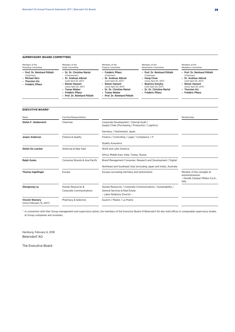#### **SUPERVISORY BOARD COMMITTEES**

| Members of the<br><b>Presiding Committee</b>                                                          | Members of the<br>Audit Committee                                                                                                                                                                                                                | Members of the<br><b>Finance Committee</b>                                                                                                                                                                      | Members of the<br>Nomination Committee                                                                                                                                                 | Members of the<br><b>Mediation Committee</b>                                                                                                                                       |
|-------------------------------------------------------------------------------------------------------|--------------------------------------------------------------------------------------------------------------------------------------------------------------------------------------------------------------------------------------------------|-----------------------------------------------------------------------------------------------------------------------------------------------------------------------------------------------------------------|----------------------------------------------------------------------------------------------------------------------------------------------------------------------------------------|------------------------------------------------------------------------------------------------------------------------------------------------------------------------------------|
| - Prof. Dr. Reinhard Pöllath<br>(Chairman)<br><b>Michael Herz</b><br>Thorsten Irtz<br>Frédéric Pflanz | - Dr. Dr. Christine Martel<br>(Chairwoman)<br>- Dr. Andreas Albrod<br>(until April 20, 2017)<br><b>Reiner Hansert</b><br>$\overline{\phantom{0}}$<br>(since April 20, 2017)<br>- Tomas Nieber<br>Frédéric Pflanz<br>- Prof. Dr. Reinhard Pöllath | - Frédéric Pflanz<br>(Chairman)<br>- Dr. Andreas Albrod<br>(until April 20, 2017)<br>- Reiner Hansert<br>(since April 20, 2017)<br>- Dr. Dr. Christine Martel<br>- Tomas Nieber<br>- Prof. Dr. Reinhard Pöllath | - Prof. Dr. Reinhard Pöllath<br>(Chairman)<br>- Hong Chow<br>(since April 20, 2017)<br>- Beatrice Drevfus<br>(until April 20, 2017)<br>- Dr. Dr. Christine Martel<br>- Frédéric Pflanz | - Prof. Dr. Reinhard Pöllath<br>(Chairman)<br>- Dr. Andreas Albrod<br>(until April 20, 2017)<br>- Reiner Hansert<br>(since April 20, 2017)<br>- Thorsten Irtz<br>- Frédéric Pflanz |
| <b>EXECUTIVE BOARD*</b>                                                                               |                                                                                                                                                                                                                                                  |                                                                                                                                                                                                                 |                                                                                                                                                                                        |                                                                                                                                                                                    |
| Name                                                                                                  | Function/Responsibilities                                                                                                                                                                                                                        |                                                                                                                                                                                                                 |                                                                                                                                                                                        | Memberships                                                                                                                                                                        |
| Stefan F. Heidenreich                                                                                 | Chairman                                                                                                                                                                                                                                         | Corporate Development / Internal Audit /<br>Supply Chain (Purchasing / Production / Logistics)                                                                                                                  |                                                                                                                                                                                        |                                                                                                                                                                                    |
|                                                                                                       |                                                                                                                                                                                                                                                  | Germany / Switzerland, Japan                                                                                                                                                                                    |                                                                                                                                                                                        |                                                                                                                                                                                    |
| Finance & Quality<br>Jesper Andersen                                                                  |                                                                                                                                                                                                                                                  | Finance / Controlling / Legal / Compliance / IT                                                                                                                                                                 |                                                                                                                                                                                        |                                                                                                                                                                                    |
|                                                                                                       |                                                                                                                                                                                                                                                  | Quality Assurance                                                                                                                                                                                               |                                                                                                                                                                                        |                                                                                                                                                                                    |
| <b>Stefan De Loecker</b><br>Americas & Near East                                                      |                                                                                                                                                                                                                                                  | North and Latin America                                                                                                                                                                                         |                                                                                                                                                                                        |                                                                                                                                                                                    |
|                                                                                                       |                                                                                                                                                                                                                                                  | Africa, Middle East, India, Turkey, Russia                                                                                                                                                                      |                                                                                                                                                                                        |                                                                                                                                                                                    |
| Ralph Gusko                                                                                           | Consumer Brands & Asia Pacific                                                                                                                                                                                                                   | Brand Management Consumer, Research and Development / Digital                                                                                                                                                   |                                                                                                                                                                                        |                                                                                                                                                                                    |
|                                                                                                       |                                                                                                                                                                                                                                                  |                                                                                                                                                                                                                 | Northeast and Southeast Asia (excluding Japan and India), Australia                                                                                                                    |                                                                                                                                                                                    |
| <b>Thomas Ingelfinger</b>                                                                             | Europe                                                                                                                                                                                                                                           | Europe (excluding Germany and Switzerland)                                                                                                                                                                      |                                                                                                                                                                                        | Member of the consiglio di<br>amministrazione:<br>- Davide Campari-Milano S.p.A.,<br>Italy                                                                                         |
| <b>Zhengrong Liu</b>                                                                                  | Human Resources &<br><b>Corporate Communications</b>                                                                                                                                                                                             | Human Resources / Corporate Communications / Sustainability /<br>General Services & Real Estate<br>- Labor Relations Director -                                                                                 |                                                                                                                                                                                        |                                                                                                                                                                                    |
| <b>Vincent Warnery</b><br>(since February 15, 2017)                                                   | Pharmacy & Selective                                                                                                                                                                                                                             | Eucerin / Plaster / La Prairie                                                                                                                                                                                  |                                                                                                                                                                                        |                                                                                                                                                                                    |

\* In connection with their Group management and supervisory duties, the members of the Executive Board of Beiersdorf AG also hold offices in comparable supervisory bodies at Group companies and investees.

Hamburg, February 6, 2018 Beiersdorf AG

The Executive Board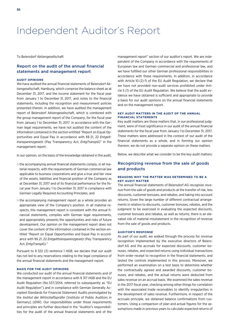## Independent Auditor's Report

To Beiersdorf Aktiengesellschaft

## Report on the audit of the annual financial statements and management report

#### **AUDIT OPINIONS**

We have audited the annual financial statements of Beiersdorf Aktiengesellschaft, Hamburg, which comprise the balance sheet as at December 31, 2017, and the income statement for the fiscal year from January 1 to December 31, 2017, and notes to the financial statements, including the recognition and measurement policies presented therein. In addition, we have audited the management report of Beiersdorf Aktiengesellschaft, which is combined with the group management report of the Company, for the fiscal year from January 1 to December 31, 2017. In accordance with the German legal requirements, we have not audited the content of the information contained in the section entitled "Report on Equal Opportunities and Equal Pay in accordance with §§ 21, 22 *Entgelttransparenzgesetz* (Pay Transparency Act, *EntgTranspG*)" in the management report.

In our opinion, on the basis of the knowledge obtained in the audit,

- **○** the accompanying annual financial statements comply, in all material respects, with the requirements of German commercial law applicable to business corporations and give a true and fair view of the assets, liabilities and financial position of the Company as at December 31, 2017 and of its financial performance for the fiscal year from January 1 to December 31, 2017 in compliance with German Legally Required Accounting Principles, and
- **○** the accompanying management report as a whole provides an appropriate view of the Company's position. In all material respects, this management report is consistent with the annual financial statements, complies with German legal requirements, and appropriately presents the opportunities and risks of future development. Our opinion on the management report does not cover the content of the information contained in the section entitled "Report on Equal Opportunities and Equal Pay in accordance with §§ 21, 22 *Entgelttransparenzgesetz* (Pay Transparency Act, *EntgTranspG*)."

Pursuant to § 322 (3) sentence 1 *HGB*, we declare that our audit has not led to any reservations relating to the legal compliance of the annual financial statements and the management report.

#### **BASIS FOR THE AUDIT OPINIONS**

We conducted our audit of the annual financial statements and of the management report in accordance with § 317 *HGB* and the EU Audit Regulation (No 537/2014, referred to subsequently as "EU Audit Regulation") and in compliance with German Generally Accepted Standards for Financial Statement Audits promulgated by the *Institut der Wirtschaftsprüfer* [Institute of Public Auditors in Germany] (*IDW*). Our responsibilities under those requirements and principles are further described in the "Auditor's responsibilities for the audit of the annual financial statements and of the management report" section of our auditor's report. We are independent of the Company in accordance with the requirements of European law and German commercial and professional law, and we have fulfilled our other German professional responsibilities in accordance with these requirements. In addition, in accordance with Article 10 (2) f) of the EU Audit Regulation, we declare that we have not provided non-audit services prohibited under Article 5 (1) of the EU Audit Regulation. We believe that the audit evidence we have obtained is sufficient and appropriate to provide a basis for our audit opinions on the annual financial statements and on the management report.

#### **KEY AUDIT MATTERS IN THE AUDIT OF THE ANNUAL FINANCIAL STATEMENTS**

Key audit matters are those matters that, in our professional judgment, were of most significance in our audit of the annual financial statements for the fiscal year from January 1 to December 31, 2017. These matters were addressed in the context of our audit of the financial statements as a whole, and in forming our opinion thereon, we do not provide a separate opinion on these matters.

Below, we describe what we consider to be the key audit matters:

## Recognizing revenue from the sale of goods and products

#### **REASONS WHY THE MATTER WAS DETERMINED TO BE A KEY AUDIT MATTER**

The annual financial statements of Beiersdorf AG recognize revenue from the sale of goods and products at the transfer of risk, less discounts, customer bonuses, and rebates, and taking into account returns. Given the large number of different contractual arrangements in relation to discounts, customer bonuses, rebates, and the judgment to be exercised in evaluating the expected discounts, customer bonuses and rebates, as well as returns, there is an elevated risk of material misstatement in the recognition of revenue from the sale of goods and products.

#### **AUDITOR'S RESPONSE**

As part of our audit, we walked through the process for revenue recognition implemented by the executive directors of Beiersdorf AG and the accruals for expected discounts, customer bonuses, rebates, and expected returns using individual transactions from order receipt to recognition in the financial statements, and tested the controls implemented in this process. Moreover, we performed an examination on a test basis to determine whether the contractually agreed and awarded discounts, customer bonuses, and rebates, and the actual returns were deducted from sales revenue on an accrual basis. We examined the sales revenue in the 2017 fiscal year, checking among other things for correlation with the associated trade receivables to identify irregularities in the development of sales revenue. Furthermore, in respect of the accruals principle, we obtained balance confirmations from customers. Using a comparison of plan and actual figures for the assumptions made in previous years to calculate expected returns of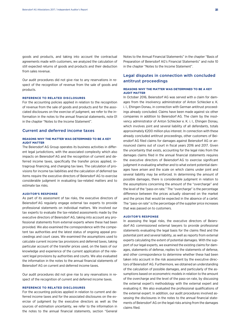goods and products, and taking into account the contractual agreements made with customers, we analyzed the calculation of still expected returns of goods and products and their deduction from sales revenue.

Our audit procedures did not give rise to any reservations in respect of the recognition of revenue from the sale of goods and products.

#### **REFERENCE TO RELATED DISCLOSURES**

For the accounting policies applied in relation to the recognition of revenue from the sale of goods and products and for the associated disclosures on the exercise of judgment, we refer to the information in the notes to the annual financial statements, note 01 in the chapter "Notes to the Income Statement".

#### Current and deferred income taxes

#### **REASONS WHY THE MATTER WAS DETERMINED TO BE A KEY AUDIT MATTER**

The Beiersdorf AG Group operates its business activities in different legal jurisdictions, with the associated complexity which also impacts on Beiersdorf AG and the recognition of current and deferred income taxes, specifically the transfer prices applied, intragroup financing, and changing tax laws. The calculation of provisions for income tax liabilities and the calculation of deferred tax items require the executive directors of Beiersdorf AG to exercise considerable judgment in evaluating tax-related matters and to estimate tax risks.

#### **AUDITOR'S RESPONSE**

As part of its assessment of tax risks, the executive directors of Beiersdorf AG regularly engage external tax experts to provide professional statements on individual matters. We involved our tax experts to evaluate the tax-related assessments made by the executive directors of Beiersdorf AG, taking into account any professional statements from external experts where these had been provided. We also examined the correspondence with the competent tax authorities and the latest status of ongoing appeal proceedings and court cases. We examined the assumptions used to calculate current income tax provisions and deferred taxes, taking particular account of the transfer prices used, on the basis of our knowledge and experience of the current application of the relevant legal provisions by authorities and courts. We also evaluated the information in the notes to the annual financial statements of Beiersdorf AG on current and deferred income taxes.

Our audit procedures did not give rise to any reservations in respect of the recognition of current and deferred income taxes.

#### **REFERENCE TO RELATED DISCLOSURES**

For the accounting policies applied in relation to current and deferred income taxes and for the associated disclosures on the exercise of judgment by the executive directors as well as the sources of estimation uncertainty, we refer to the information in the notes to the annual financial statements, section "General Notes to the Annual Financial Statements" in the chapter "Basis of Preparation of Beiersdorf AG's Financial Statements" and note 10 in the chapter "Notes to the Income Statement".

## Legal disputes in connection with concluded antitrust proceedings

#### **REASONS WHY THE MATTER WAS DETERMINED TO BE A KEY AUDIT MATTER**

In October 2016, Beiersdorf AG was served with a claim for damages from the insolvency administrator of Anton Schlecker e. K. i. I., Ehingen Donau, in connection with German antitrust proceedings already concluded. Claims have been made against six other companies in addition to Beiersdorf AG. The claim by the insolvency administrator of Anton Schlecker e. K. i. I., Ehingen Donau, which involves joint and several liability of all defendants, totals approximately €200 million plus interest. In connection with these already concluded antitrust proceedings, other customers of Beiersdorf AG filed claims for damages against Beiersdorf AG or announced claims out of court in fiscal years 2016 and 2017. Given the uncertainty that exists, accounting for the legal risks from the damages claims filed in the annual financial statements requires the executive directors of Beiersdorf AG to exercise significant judgment in evaluating whether and to what extent potential damages have arisen and the scale on which claims under joint and several liability may be enforced. In determining the amount of possible damages, there is considerable judgment in relation to the assumptions concerning the amount of the "overcharge" and the level of the "pass-on rate." The "overcharge" is the percentage difference between the prices actually observed on the market and the prices that would be expected in the absence of a cartel. The "pass-on rate" is the percentage of the supplier price increases that was passed on to customers.

#### **AUDITOR'S RESPONSE**

In assessing the legal risks, the executive directors of Beiersdorf AG commissioned external lawyers to provide professional statements evaluating the legal basis for the claims filed and the potential joint and several liability, as well as reports from external experts calculating the extent of potential damages. With the support of our legal experts, we examined the existing claims for damages, statements of defense, replies to the statements of defense, and other correspondence to determine whether these had been taken into account in the risk assessment by the executive directors of Beiersdorf AG. Furthermore, we obtained an understanding of the calculation of possible damages, and particularly of the assumptions based on econometric models in relation to the amount of the overcharge and the level of the pass-on rate, by discussing the external expert's methodology with the external expert and evaluating it. We also evaluated the professional qualifications of the external expert. In addition, our audit procedures involved assessing the disclosures in the notes to the annual financial statements of Beiersdorf AG on the legal risks arising from the damages claims filed.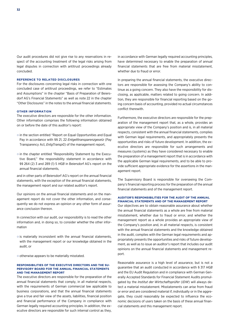Our audit procedures did not give rise to any reservations in respect of the accounting treatment of the legal risks arising from legal disputes in connection with antitrust proceedings already concluded.

#### **REFERENCE TO RELATED DISCLOSURES**

For the disclosures concerning legal risks in connection with one concluded case of antitrust proceedings, we refer to "Estimates and Assumptions" in the chapter "Basis of Preparation of Beiersdorf AG's Financial Statements" as well as note 22 in the chapter "Other Disclosures" in the notes to the annual financial statements.

#### **OTHER INFORMATION**

The executive directors are responsible for the other information. Other information comprises the following information obtained on or before the date of this auditor's report:

- **○** in the section entitled "Report on Equal Opportunities and Equal Pay in accordance with §§ 21, 22 *Entgelttransparenzgesetz* (Pay Transparency Act, *EntgTranspG*) of the management report,
- **○** in the chapter entitled "Responsibility Statement by the Executive Board," the responsibility statement in accordance with §§ 264 (2) 3 and 289 (1) 5 *HGB* in Beiersdorf AG's report on the annual financial statements,

and in other parts of Beiersdorf AG's report on the annual financial statements, with the exception of the annual financial statements, the management report and our related auditor's report.

Our opinions on the annual financial statements and on the management report do not cover the other information, and consequently we do not express an opinion or any other form of assurance conclusion thereon.

In connection with our audit, our responsibility is to read the other information and, in doing so, to consider whether the other information

**○** is materially inconsistent with the annual financial statements, with the management report or our knowledge obtained in the audit, or

**○** otherwise appears to be materially misstated.

#### **RESPONSIBILITIES OF THE EXECUTIVE DIRECTORS AND THE SU-PERVISORY BOARD FOR THE ANNUAL FINANCIAL STATEMENTS AND THE MANAGEMENT REPORT**

The executive directors are responsible for the preparation of the annual financial statements that comply, in all material respects, with the requirements of German commercial law applicable to business corporations, and that the annual financial statements give a true and fair view of the assets, liabilities, financial position and financial performance of the Company in compliance with German legally required accounting principles. In addition, the executive directors are responsible for such internal control as they, in accordance with German legally required accounting principles, have determined necessary to enable the preparation of annual financial statements that are free from material misstatement, whether due to fraud or error.

In preparing the annual financial statements, the executive directors are responsible for assessing the Company's ability to continue as a going concern. They also have the responsibility for disclosing, as applicable, matters related to going concern. In addition, they are responsible for financial reporting based on the going concern basis of accounting, provided no actual circumstances conflict therewith.

Furthermore, the executive directors are responsible for the preparation of the management report that, as a whole, provides an appropriate view of the Company's position and is, in all material respects, consistent with the annual financial statements, complies with German legal requirements, and appropriately presents the opportunities and risks of future development. In addition, the executive directors are responsible for such arrangements and measures (systems) as they have considered necessary to enable the preparation of a management report that is in accordance with the applicable German legal requirements, and to be able to provide sufficient appropriate evidence for the assertions in the management report.

The Supervisory Board is responsible for overseeing the Company's financial reporting process for the preparation of the annual financial statements and of the management report.

### **AUDITOR'S RESPONSIBILITIES FOR THE AUDIT OF THE ANNUAL FINANCIAL STATEMENTS AND OF THE MANAGEMENT REPORT**

Our objectives are to obtain reasonable assurance about whether the annual financial statements as a whole are free from material misstatement, whether due to fraud or error, and whether the management report as a whole provides an appropriate view of the Company's position and, in all material respects, is consistent with the annual financial statements and the knowledge obtained in the audit, complies with the German legal requirements and appropriately presents the opportunities and risks of future development, as well as to issue an auditor's report that includes our audit opinions on the annual financial statements and management report.

Reasonable assurance is a high level of assurance, but is not a guarantee that an audit conducted in accordance with § 317 *HGB*  and the EU Audit Regulation and in compliance with German Generally Accepted Standards for Financial Statement Audits promulgated by the *Institut der Wirtschaftsprüfer* (*IDW*) will always detect a material misstatement. Misstatements can arise from fraud or error and are considered material if, individually or in the aggregate, they could reasonably be expected to influence the economic decisions of users taken on the basis of these annual financial statements and this management report.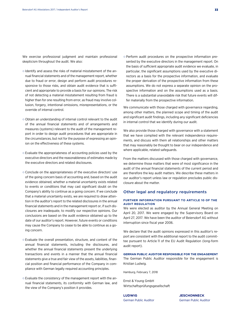We exercise professional judgment and maintain professional skepticism throughout the audit. We also:

- **○** Identify and assess the risks of material misstatement of the annual financial statements and of the management report, whether due to fraud or error, design and perform audit procedures responsive to those risks, and obtain audit evidence that is sufficient and appropriate to provide a basis for our opinions. The risk of not detecting a material misstatement resulting from fraud is higher than for one resulting from error, as fraud may involve collusion, forgery, intentional omissions, misrepresentations, or the override of internal control.
- **○** Obtain an understanding of internal control relevant to the audit of the annual financial statements and of arrangements and measures (systems) relevant to the audit of the management report in order to design audit procedures that are appropriate in the circumstances, but not for the purpose of expressing an opinion on the effectiveness of these systems.
- **○** Evaluate the appropriateness of accounting policies used by the executive directors and the reasonableness of estimates made by the executive directors and related disclosures.
- **○** Conclude on the appropriateness of the executive directors' use of the going concern basis of accounting and, based on the audit evidence obtained, whether a material uncertainty exists related to events or conditions that may cast significant doubt on the Company's ability to continue as a going concern. If we conclude that a material uncertainty exists, we are required to draw attention in the auditor's report to the related disclosures in the annual financial statements and in the management report or, if such disclosures are inadequate, to modify our respective opinions. Our conclusions are based on the audit evidence obtained up to the date of our auditor's report. However, future events or conditions may cause the Company to cease to be able to continue as a going concern.
- **○** Evaluate the overall presentation, structure, and content of the annual financial statements, including the disclosures, and whether the annual financial statements present the underlying transactions and events in a manner that the annual financial statements give a true and fair view of the assets, liabilities, financial position and financial performance of the Company in compliance with German legally required accounting principles.
- **○** Evaluate the consistency of the management report with the annual financial statements, its conformity with German law, and the view of the Company's position it provides.

**○** Perform audit procedures on the prospective information presented by the executive directors in the management report. On the basis of sufficient appropriate audit evidence we evaluate, in particular, the significant assumptions used by the executive directors as a basis for the prospective information, and evaluate the proper derivation of the prospective information from these assumptions. We do not express a separate opinion on the prospective information and on the assumptions used as a basis. There is a substantial unavoidable risk that future events will differ materially from the prospective information.

We communicate with those charged with governance regarding. among other matters, the planned scope and timing of the audit and significant audit findings, including any significant deficiencies in internal control that we identify during our audit.

We also provide those charged with governance with a statement that we have complied with the relevant independence requirements, and discuss with them all relationships and other matters that may reasonably be thought to bear on our independence and where applicable, related safeguards.

From the matters discussed with those charged with governance, we determine those matters that were of most significance in the audit of the annual financial statements of the current period and are therefore the key audit matters. We describe these matters in our auditor's report unless law or regulation precludes public disclosure about the matter.

### Other legal and regulatory requirements

#### **FURTHER INFORMATION PURSUANT TO ARTICLE 10 OF THE AUDIT REGULATION**

We were elected as auditor by the Annual General Meeting on April 20, 2017. We were engaged by the Supervisory Board on April 27, 2017. We have been the auditor of Beiersdorf AG without interruption since fiscal year 2006.

We declare that the audit opinions expressed in this auditor's report are consistent with the additional report to the audit committee pursuant to Article 11 of the EU Audit Regulation (long-form audit report).

**GERMAN PUBLIC AUDITOR RESPONSIBLE FOR THE ENGAGEMENT**  The German Public Auditor responsible for the engagement is Kristian Ludwig.

Hamburg, February 7, 2018

Ernst & Young GmbH Wirtschaftsprüfungsgesellschaft

**LUDWIG JESCHONNECK** German Public Auditor German Public Auditor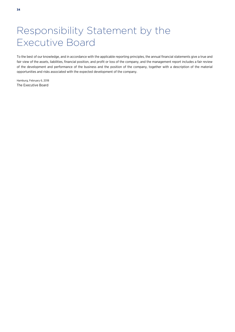## Responsibility Statement by the Executive Board

To the best of our knowledge, and in accordance with the applicable reporting principles, the annual financial statements give a true and fair view of the assets, liabilities, financial position, and profit or loss of the company, and the management report includes a fair review of the development and performance of the business and the position of the company, together with a description of the material opportunities and risks associated with the expected development of the company.

Hamburg, February 6, 2018 The Executive Board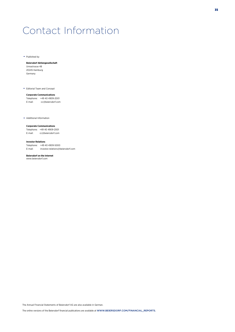## Contact Information

 $\rightarrow$  Published by

#### **Beiersdorf Aktiengesellschaft**

Unnastrasse 48 20245 Hamburg Germany

Editorial Team and Concept

#### **Corporate Communications**

Telephone: +49 40 4909-2001<br>E-mail: cc@beiersdorf.com cc@beiersdorf.com

Additional Information

#### **Corporate Communications**

Telephone: +49 40 4909-2001 E-mail: cc@beiersdorf.com

#### **Investor Relations**

Telephone: +49 40 4909-5000 E-mail: investor.relations@beiersdorf.com

**Beiersdorf on the Internet**  www.beiersdorf.com

The Annual Financial Statements of Beiersdorf AG are also available in German.